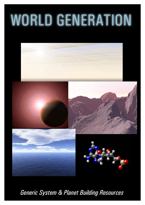# **WORLD GENERATION**





*Generic System & Planet Building Resources*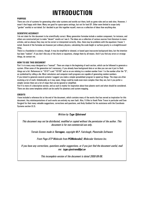## **INTRODUCTION**

### **PURPOSE**

There are a lot of systems for generating other solar systems and worlds out there, both as game rules and as web sites. However, I wasn't that happy with them. Many are good for space-opera settings, but not for hard SF. Other were limited in scope (only "garden" worlds) or out-dated. So I decided to put this together myself, more as a collection of ideas than anything else.

### **SCIENTIFIC ACCURACY**

I do not claim for this document to be scientifically correct. Many generation formulae include a random component, for instance, and others are constructed just to make "decent" results as I see it. The ideas are a collection of various sources from literature to news articles, and as always they may not be correct or interpreted correctly. Also, there may be problems with the equations I haven 't noted. Several of the formulae are however just ordinary physics, calculating the scale height or surface gravity is a straightforward thing.

There is a foundation in science, though. It may be simplified or skewed, or based upon inaccurate background data, but the intention has been "realism". If you don't like any of the charts or equations, change them by all means. And if you find any errors or strange things, do contact me.

### **HOW TO USE THIS DOCUMENT**

Part I is in many ways designed as a "manual". There are steps in the beginning of each section, which can be followed to generate a system. Often some of the generation isn't necessary, if you already have background data or an idea you can use it just to flesh things out a bit. References to "1D10"'s and "1D100" and so on are relating to a random number from 1 to the number after the "D", as symbolized by rolling a die. Most calculators and computer math programs are capable of generating random numbers. If you intend to generate several systems I suggest you make a simple spreadsheet program to speed up things. The steps are often involving a lot of math. Unbelievably as it may seem, things could be made even more complex than they are, but it you prefer a simpler version there are a lot of steps that can be ignored or simplified.

Part II is more of a descriptive section, and as such is mainly for inspiration about how planets work and what should be considered. There are also some templates which can be useful for planetary and system mapping.

### **CREDITS**

I have included a reference list at the end of the document, which contains many of the works that has served as inspiration for this document. Any misinterpretations of such works are entirely my own fault. Also, I'd like to thank Peter Trevor in particular and Even Sorgierd for their many valuable suggestions, corrections and questions, and Andy Goddard for his assistance with the Coordinate Systems section (5.3).

### *Written by Tyge Sjöstrand*

*This document may not be distributed, modified or copied without the permission of the author. This document is for non-commercial use only.*

*Terrain Scenes made in Terragen, copyright M.P. Fairclough, Planetside Software*

*Front Page ATP Molecule from PCMolecule2, Molecular Ventures Inc.*

*If you have any corrections, questions and/or suggestions, or if you just find the document useful, mail me: tyge.sjostrand@pi.se*

*This incomplete version of the document is dated 2000-08-06.*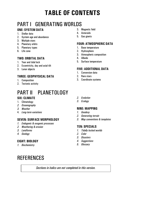## **TABLE OF CONTENTS**

## PART I GENERATING WORLDS

### **ONE: SYSTEM DATA**

- 1. Stellar data
- 2. System age and abundance
- 3. Multiple stars
- 4. Planetary orbits
- 5. Planetary types
- 6. Life zone

### **TWO: ORBITAL DATA**

- 1. Year and tidal lock
- 2. Eccentricity, day and axial tilt
- 3. Lunar objects

### **THREE: GEOPHYSICAL DATA**

- 1. Composition
- 2. Tectonic activity

## PART II – PLANETOLOGY

### **SIX: CLIMATE**

- 1. Climatology
- *2. Oceanography*
- *3. Weather*
- 4. *Long-term variations*

### **SEVEN: SURFACE MORPHOLOGY**

- *1. Endogenic & exogenic processes*
- *2. Weathering & erosion*
- *3. Landforms*
- *4. Geology*

### **EIGHT: BIOLOGY**

*1. Biochemistry*

### **REFERENCES**

*Sections in italics are not completed in this version.*

- 3. Magnetic field
- 4. Asteroids
- 5. Gas giants

### **FOUR: ATMOSPHERIC DATA**

- 1. Base temperature
- 2. Hydrosphere
- 3. Atmospheric composition
- 4. Albedo
- 5. Surface temperature

### **FIVE: ADDITIONAL DATA**

- 1. Conversion data
- 2. Rare stars
- 3. Coordinate systems
- *2. Evolution*
- *3. Ecology*

### **NINE: MAPPING**

- *1. Geodesy*
- *2. Generating terrain*
- *3. Map conventions & templates*

### **TEN: SPECIALS**

- *1. Tidally locked worlds*
- *2. Color*
- *3. Disasters*
- *4. Suggestions*
- *5. Glossary*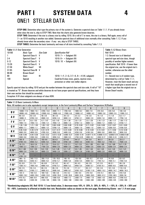## **PART I SYSTEM DATA 4** ONE/1 STELLAR DATA

**STEP ONE:** Determine what type the primary star of the system is. Generate a spectral class on Table 1.1.1. If you already know what class the star is, skip to STEP TWO. Note that the charts also generate brown dwarves.

**STEP TWO:** Determine if the star is a binary star by rolling 1D10. On a roll of 7 or more, the star is a binary. Roll again, every roll of 7+ on 1D10 resulting in another star added. Generate spectral class of additional stars normally after consulting Table 1.1.2. If you already know what the secondary stars - if any - are, skip to STEP THREE.

**STEP THREE:** Determine the basic luminosity and mass of all stars involved by consulting Table 1.1.3.

|           | <b>Table 1.1.1 Star Generation</b>                        |           |                                                                                                                    | Table 1.1.2 Binary Stars                   |
|-----------|-----------------------------------------------------------|-----------|--------------------------------------------------------------------------------------------------------------------|--------------------------------------------|
| 1D100     | <b>Basic Type</b>                                         | Size Code | <b>Specification Roll</b>                                                                                          | <b>Roll 1D10</b>                           |
|           | Spectral Class A V                                        |           | 1D10: $7+$ = Subgiant (IV)                                                                                         | 1-2: Second star is of identical           |
| 2-4       | Spectral Class F V                                        |           | $1D10: 9+ =$ Subgiant (IV)                                                                                         | spectral type and size class, though       |
| $5-12$    | Spectral Class G V                                        |           | 1D10: 10 = Subgiant $(IV)$                                                                                         | possibly of another higher numeric         |
| $13 - 26$ | <b>Spectral Class K</b>                                   | V         |                                                                                                                    | specification. Roll 1D10 - if lower than   |
| $27-36$   | <b>White Dwarf</b>                                        | VII       |                                                                                                                    | the original star, use the original star's |
| 37-85     | <b>Spectral Class M</b>                                   | V         |                                                                                                                    | number, otherwise use the rolled           |
| 86-98     | <b>Brown Dwarf</b>                                        |           |                                                                                                                    | number.                                    |
| 99        | Giant                                                     | Ш         | 1D10: $1 = F$ , $2 = G$ , $3 \cdot 7 = K$ , $8 + K$ (IV, subgiant)                                                 | $3 +$ : Second star is of random type,     |
| 100       | Special                                                   |           | Could be B-class stars, giants, neutron stars,                                                                     | determined by a roll on Table 1.1.1.       |
|           |                                                           |           | protostars or other rare stellar objects                                                                           | However, treat the Giant result and any    |
|           |                                                           |           |                                                                                                                    | result that would give a second star of    |
|           |                                                           |           | Specify spectral class by rolling 1D10 and put the number between the spectral class and size code. A roll of "10" | a higher type than the original star as    |
|           |                                                           |           | is treated as "0". Brown dwarves and white dwarves do not have proper spectral specifications, and they have       | <b>Brown Dwarf results.</b>                |
|           | their own section that should be consulted.               |           |                                                                                                                    |                                            |
|           | Exception: K-IV class subgiants are always of class KOIV. |           |                                                                                                                    |                                            |
|           |                                                           |           |                                                                                                                    |                                            |

**Table 1.1.3** Basic Luminosity & Mass Note: All numbers are in solar equivalents except temperature, in the form Luminosity/Mass and Surface Temperature (K)/Radius

|          | INULE. AN HUMBERS ALE IN SOME EQUIVAIENTS EXCEPT TEMPERATURE, IN THE TOTH LUMINOSITY/MASS AND SUITACE TEMPERATURE (N)/NAURUS |                   |                |              |                |              |             |               |             |             |
|----------|------------------------------------------------------------------------------------------------------------------------------|-------------------|----------------|--------------|----------------|--------------|-------------|---------------|-------------|-------------|
|          | $\mathbf{0}$                                                                                                                 |                   | $\overline{2}$ | 3            | $\overline{4}$ | 5            | 6           |               | 8           | 9           |
| B V      | 13000 / 17,5                                                                                                                 | 7800 / 15.1       | 4700 / 13.0    | 2800 / 11.1  | 1700 / 9.5     | 1000/8.2     | 600 / 7.0   | 370/6.0       | 220/5.0     | 130/4.0     |
|          | 28000 / 4.9                                                                                                                  | 25000 / 4.8       | 22000 / 4.8    | 19000 / 4.8  | 17000 / 4.8    | 15000 / 4.7  | 14000 / 4.2 | 13000 / 3.8   | 12000 / 3.5 | 11000 / 3.2 |
| A V      | 80/3.0                                                                                                                       | 62/2.8            | 48/2.6         | 38/2.5       | 29/2.3         | 23/2.2       | 18/2.0      | 14/1.9        | 11/1.8      | 8.211.7     |
|          | 10000/3                                                                                                                      | 9750/2.8          | 9500 / 2.6     | 9250/2.4     | 9000 / 2.2     | 8750/2.1     | 8500 / 2.0  | 8250/1.8      | 8000 / 1.7  | 7750 / 1.6  |
| F V      | 6.4 / 1.6                                                                                                                    | 5.5/1.53          | 4.7 / 1.47     | 4.0 / 1.42   | 3.4 / 1.36     | 2.9 / 1.31   | 2.5/1.26    | 2.16 / 1.21   | 1.85 / 1.17 | 1.58/1.12   |
|          | 7500 / 1.5                                                                                                                   | 7350 / 1.5        | 7200 / 1.4     | 7050/1.4     | 6900/1.3       | 6750/1.3     | 6600 / 1.2  | 6450/1.2      | 6300 / 1.2  | 6150 / 1.1  |
| G V      | 1.36 / 1.08                                                                                                                  | 1.21 / 1.05       | 1.09 / 1.02    | 0.98/0.99    | 0.88 / 0.96    | 0.79/0.94    | 0.71/0.92   | 0.64 / 0.89   | 0.57/0.87   | 0.51/0.85   |
|          | 6000 / 1.1                                                                                                                   | 5900/1.1          | 5800 / 1.0     | 5700 / 1.0   | 5600/1.0       | 5500/1.0     | 5400 / 1.0  | 5300 / 1.0    | 5200/0.9    | 5100/0.9    |
| K V      | 0.46 / 0.82                                                                                                                  | 0.39/0.79         | 0.32/0.75      | 0.27/0.72    | 0.23/0.69      | 0.19/0.66    | 0.16 / 0.63 | 0.14 / 0.61   | 0.11 / 0.56 | 0.10 / 0.49 |
|          | 5000/0.9                                                                                                                     | 4850 / 0.9        | 4700/0.9       | 4550/0.8     | 4400/0.8       | 4250/0.8     | 4100/0.8    | 3950/0.8      | 3800/0.8    | 3650/0.8    |
| M V      | 0.08 / 0.46                                                                                                                  | 0.04 / 0.38       | 0.02 / 0.32    | 0.012 / 0.26 | 0.006 / 0.21   | 0.003 / 0.18 | 0.0017/0.15 | 0.0009 / 0.12 | 0.0005/0.10 | 0.0002/0.08 |
|          | 3500/0.8                                                                                                                     | 3350/0.6          | 3200/0.5       | 3050/0.4     | 2900/0.3       | 2750/0.25    | 2600/0.2    | 2450 / 0.17   | 2300 / 0.14 | 2200 / 0.11 |
| A IV*    | 156/6                                                                                                                        | 127/5.1           | 102/4.6        | 83/4.3       | 67/4.0         | 54/3.7       | 44/3.4      | 36/3.1        | 29/2.9      | 2312.7      |
|          | 9700/4.5                                                                                                                     | 9450/4.2          | 9200 / 4.0     | 8950 / 3.8   | 8700 / 3.6     | 8450 / 3.5   | 8200 / 3.3  | 7950 / 3.2    | 7700 / 3.1  | 7500 / 2.9  |
| $F IV^*$ | 19/2.5                                                                                                                       | 16.9 / 2.4        | 15.1 / 2.3     | 13.4 / 2.2   | 12.0 / 2.1     | 10.7 / 2.0   | 9.5 / 1.95  | 8.5/1.90      | 7.6 / 1.80  | 6.7 / 1.70  |
|          | 7300 / 2.7                                                                                                                   | 7200 / 2.7        | 7100 / 2.6     | 6950/2.6     | 6800 / 2.5     | 6650/2.5     | 6500 / 2.5  | 6350/2.5      | 6200 / 2.4  | 6050 / 2.4  |
| $G IV*$  | 6.2 / 1.60                                                                                                                   | 5.9/1.55          | 5.6 / 1.52     | 5.4 / 1.49   | $5.2$ / 1.47   | 5.0 / 1.45   | 4.8 / 1.44  | 4.6 / 1.43    | 4.4 / 1.42  | 4.2 / 1.41  |
|          | 5900 / 2.4                                                                                                                   | 5750/2.4          | 5600 / 2.5     | 5450/2.6     | 5300 / 2.7     | 5200 / 2.8   | 5100 / 2.8  | 5000 / 2.9    | 4900 / 2.9  | 4800 / 3.0  |
| $K IV^*$ | 411.40                                                                                                                       |                   |                |              |                |              |             |               |             |             |
|          | 4700 / 3.0                                                                                                                   |                   |                |              |                |              |             |               |             |             |
| A III*   | 280 / 12                                                                                                                     | 240/11.5          | 200/11.0       | 170/10.5     | 140/10         | 120/9.6      | 100/9.2     | 87/8.9        | 74/8.6      | 63/8.3      |
|          | 9500 / 6.2                                                                                                                   | 9250/6.1          | 9000 / 5.9     | 8750/5.7     | 8500/5.6       | 8250/5.5     | 8000 / 5.3  | 7750 / 5.2    | 7500/5.1    | 7350 / 4.9  |
| F III*   | 53/8.0                                                                                                                       | 51/7.0            | 49/6.0         | 47/5.2       | 46 / 4.7       | 45/4.3       | 46 / 3.9    | 47/3.5        | 48 / 3.1    | 49/2.8      |
|          | 7200 / 4.7                                                                                                                   | 7050 / 4.8        | 6900/4.9       | 6750/5.1     | 6600 / 5.2     | 6450/5.4     | 6300 / 5.7  | 6150/6.1      | 6000 / 6.5  | 5900/6.8    |
| G III*   | 50/2.5                                                                                                                       | 55/2.4            | 60/2.5         | 65/2.5       | 70/2.6         | 77   2.7     | 85/2.7      | 92/2.8        | 101/2.8     | 110/2.9     |
|          | 5800 / 7.1                                                                                                                   | $5700$ $\mid$ 7.7 | 5600 / 8.3     | 5500/9.0     | 5400/9.7       | 5250/10.7    | 5100 / 11.9 | 4950 / 13.2   | 4800 / 14.7 | 4650 / 16.3 |
| K III*   | 120/3                                                                                                                        | 140/3.3           | 160 7 3.6      | 180/3.9      | 210/4.2        | 240/4.5      | 270/4.8     | 310/5.1       | 360/5.4     | 410/5.8     |
|          | 4500 / 18.2                                                                                                                  | 4400 / 20.4       | 4300 / 22.8    | 4200 / 25.6  | 4100 / 28.8    | 4000 / 32.4  | 3900 / 36.5 | 3800 / 41.2   | 3700 / 46.5 | 3550/54     |
| M III*   | 470/6.2                                                                                                                      | 600/6.4           | 900/6.6        | 1300/6.8     | 1800 / 7.2     | 2300 / 7.4   | 2400 / 7.8  | 2500 / 8.3    | 2600/8.8    | 2700/9.3    |
|          | 3400/63                                                                                                                      | 3200/80           | 3100 / 105     | 3000 / 135   | 2800 / 180     | 2650 / 230   | 2500 / 260  | 2400 / 290    | 2300 / 325  | 2200 / 360  |

**\*Randomizing subgiants (IV). Roll 1D10: 1-2 use listed value, 3: decrease mass 10%, 4: -20%, 5: -30%, 6: -40%, 7: +10%, 8: +20%, 9: +30% and 10: +40%. Luminosity is affected at double that rate. Recalculate radius as shown on the next page. Randomizing Giants - see 1.1.4 next page.**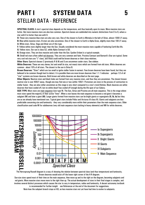## **PART I SYSTEM DATA 5** STELLAR DATA - REFERENCE

**SPECTRAL CLASS:** A star's spectral class depends on the temperature, and thus basically upon its mass. More massive stars are hotter. But more massive stars are also less common. Spectral classes are subdivided into numeric distinctions from 0 to 9, where a star with 0 is hotter than one with 9.

**O:** These very massive blue stars are also very rare. One of the closest to Earth is Mintaka in the belt of Orion, almost 1000 LY away.

**B:** Blue-white massive stars. B-stars are also uncommon. One of the closest to Earth is Alpha Gruis, slightly more than 100 LY away. **A:** White stars. Sirius, Vega and Altair are of this type.

**F:** Yellow-white stars slightly larger than the Sun. Usually considered the most massive stars capable of harboring Earth-like life.

**G:** Yellow stars. Our sun is class G2, while Alpha Centauri is G0.

**K:** Orange stars. They are less massive and cooler than the Sun. Epsilon Eridani is a typical example.

**M:** Small red stars often called red dwarves. They are very common and faint. Proxima Centauri and Barnard's Star are typical. Some very cool red stars are "L"-class, and these could well be brown dwarves or their close relatives.

**Other Stars:** Spectral classes C (previously R & N) and S are uncommon cooler stars. See sidebar.

**White Dwarves:** These are very dense, hot and small (in size, not mass) stars which are formed from old stars. White dwarves are common - about 10% of all stars. The closest to the sun is Sirius B.

**Brown Dwarves:** "Stars" which are too small to ignite stellar fusion in earnest. Few brown dwarves have been found, but they are believed to be common though hard to detect. It is possible there are more brown dwarves than 1.1.1 indicates – perhaps 1/3 of all "star" systems are brown dwarves. Both brown and white dwarves are described on the next page.

**Other Objects:** Neutron stars and black holes are formed from very massive stars, and thus they are uncommon. The closest known neutron star is over 400LY away, though one may find one or two within 100LY. Protostars are stars in the process of contraction to stellar fusion - they are also rather uncommon as this stage is very short compared to a star's total lifetime. Black dwarves are white dwarves that have cooled off, but no white dwarf has cooled off enough during the life span of our Galaxy.

**SIZE TYPE:** Most stars are main sequence (size type **V**). The Sun, Sirius and Proxima are all main sequence. This is the stage where most stars spend the majority of their active "lives". When a star leaves the main sequence to become a red giant it becomes a subgiant (**IV**) and later a giant **(III)**. Larger giants formed from massive stars can be bright giants or supergiants **(II, Ib, Ia)** but they are as we already have mentioned rare. Typical giant stars include Pollux and Arcturus (K-class III). Giants and subgiants are less predictable concerning size and luminosity - they vary considerably more within their parameters than the main sequence stars. Older classification used code **VI** for subdwarves (very old main sequence stars lacking in heavy elements) and **VII** for white dwarves.



The Hertzsprung-Russell diagram is a way of showing the relation between spectral class (and thus temperature) and luminosity. Brown dwarves would exist off the lower right corner of the H-R diagram.

Sun-size stars spend most of their time on the main sequence, then move up and to the right on the diagram, becoming subgiants and red giants. More massive stars move more to the right than up. The actual development of stars in their final stages is complex, and involves several distinct processes which causes the star to vary in temperature, radius and luminosity. A decent astronomy textbook is recommended for further insight – see References at the end of the document for suggestions.

Note how the subgiant branch stops at KO, as less massive stars not yet have had time to evolve to subgiants.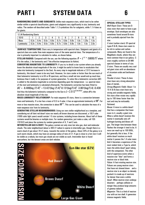## **PART I SYSTEM DATA 6**

**RANDOMIZING GIANTS AND SUBGIANTS:** Unlike main sequence stars, which tend to be rather similar within a spectral classification, giants and subgiants vary significantly in size, luminosity and radius. The random roll described under Table 1.1.3 symbolizes this for subgiants, while 1.1.4 does so for giants.

| <b>1.1.4 Randomizing Giants</b> |      |      |      |      |      |      |      |      |       |      |
|---------------------------------|------|------|------|------|------|------|------|------|-------|------|
| 1D <sub>10</sub>                |      |      |      |      | հ    | 6    |      |      |       | 10   |
| <b>Mass</b>                     | 0.3x | 0.4x | 0.5x | 0.6x | 0.7x | 0.8x | 0.9x | 1.0x | 1.25x | 1.5x |
| Luminosity                      | 0.3x | 0.4x | 0.5x | 0.6x | 0.7x | 0.8x | 0.9x | 1.0x | .5х   | 2.0x |

(**SURFACE TEMPERATURE:** Stars vary in temperature with spectral class. Subgiants and giants of a spectral class are cooler than main sequence stars of the same spectral class. The temperature of a star is primarily important to calculate its radius, as shown below.

**STELLAR RADIUS:** Compared with the sun, use the following equation:  $R = L^{1/2}$   $*$  (5800/7) $^2$  where *R* is the radius, *L* the luminosity and *T* the effective temperature (in Kelvin).

**CONVERTING MAGNITUDE TO LUMINOSITY:** If you try to detail a star system where you already know the absolute visual magnitude of the star, it might be useful to know how to recalculate that value into luminosity (compared to the Sun). As every step in magnitude indicate a 2.512 increase in luminosity, this doesn't seem to be very hard. However, for stars cooler or hotter than the sun much of their bolometric luminosity is in UV or IR spectrum, and thus a small red star would end up much less luminous than it really is for purposes of system generation. To solve this a bolometric correction (*BC*) is added to the absolute magnitude (a correction depending upon the temperature  $\cdot$  i.e. spectral class  $\cdot$ of the star) and luminosity is calculated afterwards. The bolometric correction has been fitted to:  $BC = -8.499$ [log (*T*)-4]<sup>4</sup> + 13.421[log (*T*)-4]<sup>3</sup>-8.131[log(*T*)-4]<sup>2</sup> -3.901[log(*T*)-4] -0.438 And thus the bolometric luminosity compared to the Sun is  $\mathit{L}=2.512^{(4.68\cdot \mathit{M-BC})}$ , where  $\mathit{M}$  is the absolute visual magnitude of the star.

**MASS-LUMINOSITY RELATIONSHIP:** For main sequence (V) stars, there is a connection between mass and luminosity. If a star has a mass of 0.5 to 4 solar, it has an approximate luminosity of  $\mathsf{M}^4$ . For more or less massive stars, the connection is about  $\mathsf{M}^{3.3}.$  This can be used to calculate the mass of a main-sequence star from its luminosity.

**GENERATING STELLAR NEIGHBORHOODS:** Using our own stellar neighborhood as a template, and considering not all faint red dwarf stars nor nearly all brown dwarves are discovered, a 10LY cube (1000 cubic light years) would contain 1-5 star systems, including brown dwarves. About half of these systems would be binaries or multiple stars. For random generation, just make a cube, roll 1D5 (1D10/2) and place the systems by random generation of X, Y and Z-axis.

**INTERSTELLAR GAS & DUST:** The galaxy contain not only stars but also gas, dust and molecular clouds. The solar neighborhood (about a 300 LY radius) is sparse in interstellar gas, though there is a warm cloud of gas about 70 LY away, towards the center of the galaxy. About 20% of the galaxy is in such warm clouds, which may have an average radius of tens of LY. If gas is close to a hot star it will be visible as a nebula, but most gas clouds are not visible as such. Interstellar dust is found everywhere, but the densest areas are dark nebulae.



### **SPECIAL STELLAR TYPES**

*Wolf-Rayet Stars*: These are Oclass stars that seem to have a gas envelope. Such envelopes are also sometimes found around B-stars and is probably ejected from the star.

*C-stars* (carbon stars): Of spectral types R & N, these stars seem to be rich in carbon and carbon compounds. Many are found in the Magellanic clouds, where they are more common than in our galaxy. Cstars roughly conform to G4-M9 spectral classes in terms of size. *S-stars*. These are usually very cool red giant stars with an abundance of zirconium oxide and lanthanum oxide.

*Peculiar A-stars*: These A-class stars have very strong absorption lines of metals.

*Strong Magnetic Fields*: About 1 in 10 A & B-class stars have very strong and variable magnetic fields. Hot stars often rotate very rapidly (up to 100 times faster than the sun) and may be noticeably flattened.

*Novae*: A nova is a white dwarf that has a companion that loses mass to it, usually a giant star. When a white dwarf receives this matter it eventually sets off hydrogen burning and blows off gas. The longer time between these flashes the stronger it tend to be. A nova can reach up to 100 000*L*, but generally this is less. If the white dwarf receives so much matter it passes the 1.4 solar mass limit it becomes a supernova of the most violent kind, a Type Ia, which tears the white dwarf apart (along with the companion). The other kind of supernova exists when a massive star "dies" and forms a neutron star or black hole. *Pulsar:* A fast-rotating neutron star. Pulsars are young neutron stars that have not slowed down – and a neutron star is an object so densely packed it is made up of neutrons – far denser than even a white dwarf. When neutron stars undergo disasters – perhaps collision or merger they produce large amounts of gamma radiation *Magnetar*: This is a kind of neutron star with an iron shell. It generates intense magnetic fields.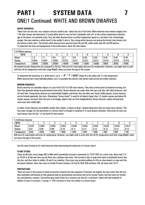## **PART I SYSTEM DATA 7** ONE/1 Continued: WHITE AND BROWN DWARVES

### **WHITE DWARVES:**

These stars are very hot, very compact and very small in size - about the size of the Earth. White dwarves have masses ranging from 1.44 solar masses and downward. A young white dwarf is very hot but it gradually cools off, so the surface temperature indicates age of the dwarf, not primarily mass. Very old white dwarves have a surface temperature equal to a red dwarf star. Interestingly enough, the more massive a white dwarf is the smaller it also is. Very young white dwarves are among the hottest stars known, but that phase is fairly short. The hottest white dwarves have spectral types DA and DO, while cooler have DC and DQ spectra. To determine the mass and temperature of the white dwarf, check the chart below:

| 1.1.4 White dwarves |                |       |                    |       |         |       |       |       |       |       |
|---------------------|----------------|-------|--------------------|-------|---------|-------|-------|-------|-------|-------|
| 1D <sub>10</sub>    |                |       |                    |       |         |       |       |       |       |       |
| Mass <sub>/</sub>   | $\sim$<br>ں. ا | . .   | 0.9                | U.,   | 0.6     | 0.55  | 0.50  | 0.45  | 0.40  | 0.35  |
| Radius              | 0.004          | 0.007 | 0.009              | 0.010 | 0.011   | 0.012 | 0.013 | 0.014 | 0.015 | 0.016 |
| l emperature        | 30000          | 25000 | 20000              | 16000 | 14000   | 12000 | 10000 | 8000  | 6000  | 4000  |
| .<br>$\sim$ $\sim$  |                |       | $\sim$<br>$\cdots$ | . .   | $\cdot$ |       |       | . .   |       | .     |

All numbers except temperature are compared to the Sun. Roll once for mass/radius and once for temperature. However, you might wish to wait with the roll for temperature until after stage **One/2**, when you know the age of the system

To determine the luminosity of a white dwarf, use  $L = R^2 \, * T^4$  /  $5800^4$  where R is the radius and T is the temperature. White dwarves don't have habitable planets, but it is possible that distant cold worlds could survive the stellar evolution.

### **BROWN DWARVES:**

Brown dwarves are substellar objects of a size from 0.013 to 0.08 solar masses. They have a brief period of deuterium burning, but after that generate energy by gravitational contraction. Brown dwarves are cooler than real stars and they, like white dwarves, cool off with time. Young brown dwarves are substantially brighter and hotter than the older ones found. Unlike planets, brown dwarves can be formed separately, like stars. (Sometimes "brown dwarf" is used for all objects larger than 1.5 Jupiter masses and below 80 Jupiter masses, but here I limit the term to the bigger objects that can form independently). Brown dwarves radiate infrared heat much more than visible light.

In radius, brown dwarves are probably smaller than Jupiter, or about as large - despite being more than ten times more massive. This may seem strange, but the gravitation of a brown dwarf is enough to compress it to much greater densities. (And small red stars are much denser than the Sun - or the Earth for that matter).

| 1.1.5 Brown dwarves |       |       |       |       |       |       |       |       |       |       |
|---------------------|-------|-------|-------|-------|-------|-------|-------|-------|-------|-------|
| 1D <sub>10</sub>    |       |       |       |       |       |       |       |       |       |       |
| <b>Massi</b>        | 0.070 | J.064 | 0.058 | 0.052 | 0.046 | 0.040 | 0.034 | 0.026 | 0.020 | 0.014 |
| Radius              | 0.07  | 0.08  | 0.09  | 0.10  | 0.11  | 0.12  | 0.12  | 0.12  | 0.12  | 0.12  |
| l emperature        | 2200  | 2000  | 1800  | 1600  | 1400  | 1200  | 1000  | 900   | 800   | 700   |

Roll once for mass/radius and once for temperature. However, you might wish to wait with the roll for temperature until after stage **One/2**, when you know the age of the system…

Use the same formula as for white dwarves when determining the luminosity of a brown dwarf.

### **FLARE STARS:**

These are M-class stars (ranges M3 to M9) which periodically increase in luminosity by 1D10\*50% for a short time. About half (1-5 on 1D10) of all dim red stars may be flare stars, perhaps even more. The increase is due to large solar flares considerably hotter than the star, and thus richer in visible, UV and X-ray radiation. Flare stars may provide problems for life on close planets to cope with the increased radiation. Flare stars near us include Proxima Centauri, UV Ceti B, Wolf 359 and Ross 154, all closer than 10 LY.

### **PROTOSTARS:**

These are stars in the process of initial contraction towards the main sequence. Protostars are brighter but also cooler than the star they eventually will become as they generate heat by gravitational contraction and not by nuclear fusion, and they have not formed any real planetary systems. Contraction goes much faster for a massive star than for a red dwarf, which will take hundreds of millions of years to contract. A young  $\zeta$  (Carry ) red dwarf is thus very similar to a brown dwarf.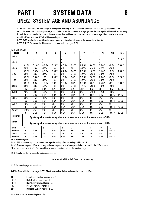## **PART I SYSTEM DATA 8** ONE/2 SYSTEM AGE AND ABUNDANCE

**STEP TWO:** Apply the percentile adjustments given from the chart - if any - to the luminosity of the star.

**STEP THREE:** Determine the Abundance of the system by rolling on 1.2.3.

| 1.2.1 System Age |                          |                   |                   |                  |                                                                                  |                   |                          |                   |                   |             |                   |
|------------------|--------------------------|-------------------|-------------------|------------------|----------------------------------------------------------------------------------|-------------------|--------------------------|-------------------|-------------------|-------------|-------------------|
| 1D10             | 1                        | $\mathbf{2}$      | 3                 | 4                | 5                                                                                | 6                 | $\overline{\mathbf{z}}$  | 8                 | 9                 | 10          | Life              |
| <b>BO-B9</b>     | $\overline{\phantom{a}}$ |                   |                   |                  |                                                                                  |                   | $\overline{\phantom{a}}$ |                   |                   |             |                   |
|                  |                          |                   |                   |                  |                                                                                  |                   |                          |                   |                   |             | 0.1 <sub>6Y</sub> |
| A0-A4            |                          |                   |                   |                  |                                                                                  |                   |                          |                   |                   |             |                   |
|                  | 0.1 <sub>6Y</sub>        | 0.1 <sub>6Y</sub> | 0.2 <sub>6Y</sub> | 0.2 <sub>0</sub> | 0.3 GY                                                                           | 0.3 GY            | 0.4 GY                   | 0.4 <sub>6Y</sub> | 0.5 <sub>6Y</sub> | 0.6 GY      | 0.6 <sub>6</sub>  |
| A5-A9            | $-20%$                   | -20%              | $-10%$            | $-10%$           | 0%                                                                               | 0%                | $+10%$                   | $+10%$            | $+20%$            | $+20%$      |                   |
|                  | 0.2 <sub>6Y</sub>        | 0.4GY             | 0.5 <sub>6Y</sub> | 0.6 GY           | 0.7 <sub>6Y</sub>                                                                | 0.8 <sub>6Y</sub> | 0.9 GY                   | 1.0 <sub>0</sub>  | 1.1 GY            | 1.2 GY      | 1.3 GY            |
| $F0-F4$          | $-40%$                   | $-30%$            | $-20%$            | $-10%$           | 0%                                                                               | $+10%$            | $+20%$                   | $+30%$            | $+40%$            | $+50%$      |                   |
|                  | 0.3 <sub>6Y</sub>        | 0.6 GY            | 1 <sub>GY</sub>   | 1.3 GY           | 1.6 GY                                                                           | 2 <sub>6Y</sub>   | 2.3 GY                   | 2.6 GY            | 2.9 GY            | 3.2 GY      | 3.2 GY            |
| F5-F9            | $-40%$                   | -30%              | $-20%$            | $-10%$           | 0%                                                                               | $+10%$            | $+20%$                   | $+30%$            | $+40%$            | $+50%$      |                   |
|                  | 0.5 <sub>6Y</sub>        | 1 <sub>GY</sub>   | 1.5 GY            | 2 <sub>GY</sub>  | 2.5 GY                                                                           | 3 GY              | 3.5 GY                   | 4 GY              | 4.5 GY            | 5 GY        | 5.6 GY            |
| $G0-G4$          | $-40%$                   | $-30%$            | $-20%$            | $-10%$           | 0%                                                                               | $+10%$            | $+20%$                   | $+30%$            | $+40%$            | $+50%$      |                   |
|                  | 1GY                      | 2GY               | 3GY               | 4GY              | <b>5GY</b>                                                                       | 6GY               | 7GY                      | 8GY               | 9GY               | <b>10GY</b> | <b>10 GY</b>      |
| G5-G9            | $-40%$                   | $-30%$            | $-20%$            | $-10%$           | $0\%$                                                                            | $+0%$             | $0\%$                    | $+10%$            | $+20%$            | $+30%$      |                   |
|                  | 1 <sub>GY</sub>          | 2 <sub>6Y</sub>   | 3 GY              | 4 GY             | <b>5 GY</b>                                                                      | 6 GY              | <b>7 GY</b>              | <b>8 GY</b>       | 9 GY              | $10 GY +$   | 14 GY             |
| KO-K5            | $-20%$                   | $-15%$            | $-10%$            | $-5%$            | $0\%$                                                                            | 0%                | $0\%$                    | 0%                | $0\%$             | $+5%$       |                   |
|                  | 1GY                      | 2 <sub>6Y</sub>   | 3 GY              | 4 GY             | 5 GY                                                                             | 6 GY              | 7 GY                     | <b>8 GY</b>       | 9 GY              | $10 GY +$   | 23 GY             |
| K5-K9            | $-10%$                   | $-5%$             | $0\%$             | $0\%$            | $0\%$                                                                            | 0%                | $0\%$                    | 0%                | 0%                | 0%          |                   |
|                  | <b>1 GY</b>              | 2 <sub>6Y</sub>   | 3 GY              | 4 GY             | 5 GY                                                                             | 6 GY              | 7 GY                     | <b>8 GY</b>       | 9 GY              | $10 GY +$   | 42 GY             |
| M0-M9            | $+10%$                   | $0\%$             | $0\%$             | $0\%$            | $0\%$                                                                            | 0%                | $0\%$                    | $0\%$             | 0%                | 0%          |                   |
|                  | 1 <sub>GY</sub>          | 2 <sub>GY</sub>   | 3 GY              | 4 GY             | <b>5 GY</b>                                                                      | 6 GY              | 7 GY                     | <b>8 GY</b>       | 9 GY              | $10 GY +$   | $50GY +$          |
| <b>Subgiants</b> |                          |                   |                   |                  | Age is equal to maximum age for a main sequence star of the same mass, $+10\%$ . |                   |                          |                   |                   |             |                   |
| Giants           |                          |                   |                   |                  | Age is equal to maximum age for a main sequence star of the same mass, $+20\%$ . |                   |                          |                   |                   |             |                   |
| White            | $-4$                     | -4                | $-3$              | $-3$             | $-2$                                                                             | $-2$              | $-1$                     | $-1$              | $+0$              | $+0$        |                   |
| Dwarves*         | 1 GY                     | 2 GY              | 3 GY              | 4 GY             | 5 GY                                                                             | 6 GY              | 7 GY                     | 8 GY              | 9 GY              | $10 GY +$   |                   |
| <b>Brown</b>     | $+0$                     | $+1$              | $+1$              | $+2$             | $+2$                                                                             | $+3$              | $+4$                     | $+5$              | $+6$              | $+7$        |                   |
| Dwarves*         | 1 <sub>GY</sub>          | 2 <sub>6Y</sub>   | 3 GY              | 4 GY             | 5 GY                                                                             | 6 GY              | 7 GY                     | 8 GY              | 9 GY              | $10 GY +$   |                   |
|                  |                          |                   |                   |                  |                                                                                  |                   |                          |                   |                   |             |                   |

*GY = Billions of years.*

Note1: White dwarves age indicate their total age - including before becoming a white dwarf.

Note2: The main sequence life span of a typical main sequence star of the spectral class, is listed in the "Life" column.

\* Use the number after the "+" as a modifier to any temperature rolls on the previous page.

**1.2.2** Calculating the life span of a main sequence star

*Life span (in GY) = 10 \* Mass / Luminosity*

**1.2.3** Determining system abundance

Roll 2D10 and add the system age (in GY). Check on the chart below and note the system modifier.

- 3-9 Exceptional. System modifier is +2. 10-12 High. System modifier is +1<br>13-18 **Mormal** System modifier is -Normal. System modifier is  $+0$ .
- 19-21 Poor. System modifier is -1.
- 22+ Depleted. System modifier is -3.

Note: Halo stars are always Depleted (-3).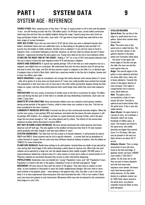## **PART I SYSTEM DATA 9** SYSTEM AGE - REFERENCE

**YOUNG STARS:** Here, meaning stars of less than 1 GY age. A young system is rich in dust and the planets -if any - are still forming (at least the first 100 million years). For M-class stars, actual stellar contraction takes long time and thus they are slightly brighter during this stage. Typical young stars near Earth are Vega and Epsilon Eridani. On the chart, stars with 1 GY age (and no lower listed) may well still be in the later stages of system formation.

**VERY OLD STARS**: Stars that are more than 9-10 GY old are often very poor in elements heavier than helium. Sometimes these stars are called halo stars, as they belong to the galactic halo and didn't fit exactly into old models of stellar evolution. Another term is *subdwarf*. A very old star close to Earth is Kapteyn's Star, a red dwarf belonging to the halo. However, an old star need not always be poor in heavy elements - supernovae enriched the early galaxy too. Young stars need not be rich in such elements either. **STARS ON THE RIGHT END OF THE CHART:** Rolling a "10" for a star of G0-4 and upward indicates that the star is about to leave the main sequence (class IV-V) and become a subgiant.

**GIANTS AND SUBGIANTS:** A typical star spends perhaps 10% of the time as a main sequence star as a subgiant, and slightly less as a real giant. We understand that only the more massive stars (G and up) has had time to enter this stage, and that the less massive a giant or subgiant is the older it is, in absolute age. A subgiant close to Earth is Beta Hydri, which has a spectrum similar to the Sun but is brighter, heavier and at least two billion years older.

**WHITE DWARVES:** It might be considered a bit strange that white dwarves with masses below 0.7 exists - after all no giants of so low mass are found and no 0.7 mass star could possibly have evolved fast enough. The explanation is that stars lose a lot of mass due to the often rather pyrotechnic displays during the later stages as a giant, and thus these white dwarves had a much larger mass while they were main sequence stars.

**PROTOSTARS:** Are very young. A protostar of similar mass as the Sun is a protostar for about 10 million years and during the later part of that time it is variable and stop diminishing in luminosity. Such stars are called T Tauri stars.

**BURSTS OF STAR CREATION:** Some astronomers believe stars are created in much greater numbers during certain periods of the galaxy's history, while in other times star creation is very low. This has not been considered in the chart, however.

**LUMINOSITY INCREASE WITH AGE:** A normal star like our Sun continuously becomes brighter. When the system was young, it was perhaps 40% less luminous, and when the Sun leaves the main sequence it will be perhaps 40% brighter. As a subgiant and later as a giant luminosity increase further, and in the giant stage the star grows enough to "eat" any close planets and fry others. The effects of the normal mainsequence increase will be discussed in section ONE/6.

**BUT MAY IN SOME CASES DECREASE:** We have already mentioned that white dwarves and brown dwarves cool off with age. This also applies to the smallest red dwarves (less than 0.15 solar masses) which gradually will fade; though it will take many billions of years.

**SYSTEM ABUNDANCE:** This tells how rich the system is in heavier elements. It will primarily be used in ONE/4 and ONE/5. Some systems may be rich in specific elements – a system that has an abundance of carbon (instead of oxygen, like our own) may have different chemical makeup of planets. See the sidebar at THREE/2 for more information.

**PLANETARY NEBULAE:** Really have nothing to do with planets. Instead these are shells of gas ejected by stars during their final stages in life, before becoming a white dwarf or neutron star. More than one such nebulae can be ejected by a large star, but the nebula disperse fairly rapidly (roughly 100 000 years). A typical planetary nebula has a decent mass (0.1 solar masses or more) and a radius of several tenths of LY. Planetary nebulae are uncommon because they survive so short time before dispersing.

**POPULATIONS:** Sometimes stars are divided into "young" Population I stars, and "old" Population II stars. Population I is found in the disc of the galaxy, Population II stars in the halo and galactic "bulge".

**MOVEMENT:** All stars move as they orbit the center of the galaxy. They also move in respect to each other, so over hundreds of thousands of years the stellar neighborhood changes. Old stars tend to move more inclined to the galactic plane – many belong to the galactic halo. Also, the older a star is the more likely it is to have experienced close encounters that have disturbed the orbit. (This in turn makes it likely such stars have lost planets in such interaction). Movement shifts may also be induced by the cataclysmic final stages in a star's life.

### **STELLAR REGIONS**

*Spiral Arms*: Our sun lies at the edge of a small spiral arm in our galaxy. Spiral arms contain many young stars.

*Disc*: The entire area of the spiral arms is called the disc. The area of the disc closest to the galactic equator is the place where star formation takes place

the closer to the upper and lower edges of the disc one get the older the stars are and the more sparse they are.

*Bulge*: The central region of the galaxy is more spherical and here are many older stars, many rich in heavy elements. Towards the center of the galaxy density of stars increase. This region is comparatively rich in neutron stars, black holes etc.

*Halo*: The galaxy also is surrounded by a halo of stars – mostly old stars. The halo is spherical and extend farther than the spiral arms. It has a very low stellar density.

*Open Cluster*: An open cluster is a group of stars, up to perhaps a thousand, which are young (hundreds of million years, at most). The clusters are found in the spiral arms, and stellar densities are higher than normal (from 2 to 20 times). Old stars may be present in the area too. Open clusters are about 30 LY across.

*Globular Cluster*: This is a large association of very old stars, found in the halo and bulge. A globular cluster can have 100000 stars within a 100-250 LY sphere. As the stars are so old they are poor in heavy elements and only low-mass main sequence stars remain, the heavy stars have become giants or white dwarves. As the stellar density in a globular cluster can be 1000 times above normal in the spiral arms, any planets originally found are likely to have been disrupted.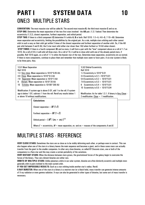## **PART I SYSTEM DATA 10** ONE/3 MULTIPLE STARS

**CONVENTION:** The most massive star will be called **A**. The second most massive **B**, the third most massive **C** and so on. **STEP ONE:** Determine the mean separation of the two first stars involved - the **AB** pair. (1.3.1 below) Then determine the eccentricity (1.3.2), closest separation, furthest separation, and orbital period.

**STEP TWO:** If there is a third component (**C)** determine if it orbits **A**, **B** or both. Roll 1D10: 1-3=A, 4-6=B, 7-10=AB. Determine mean separation and eccentricity, limiting the possibilities by the original pair. As a rule, multiple stars orbiting each other cannot orbit in such a way as their orbit get within 3 times of the closest separation and furthest separation of another orbit. So, if the AB pair orbit between 3 and 6 AU, the C-star must orbit either star closer than 1AU when furthest or 18 AU when closest.

**STEP THREE:** If there is a fourth component (**D**) and no more, it will form a pair with the "lone" component above on a roll of 1-7 on 1D10. On a roll of 8-9, it will orbit all three stars. On a roll of 10, it will be in close orbit with one of the already paired stars, if possible. Roll 1D10 again, on a roll of 1-7 it orbits the heavier star of the two. Determine mean separation, eccentricity etc as normal. If there is more components, continue to place them and remember that multiple stars seem to favor pairs. A six-star system is likely to be three pairs, thus.

| <b>1.3.1 Mean Separation</b>                                            | <b>1.3.2 Orbital Eccentricity</b>                            |  |  |  |  |
|-------------------------------------------------------------------------|--------------------------------------------------------------|--|--|--|--|
| <b>Roll 1D10</b>                                                        | <b>Roll 1D10</b>                                             |  |  |  |  |
| 1-3 Very close. Mean separation is 1D10*0.05 AU.                        | 1-2 Eccentricity is $1D10*0.01$                              |  |  |  |  |
| 4-6 Close. Mean separation is 1D10*0.5 AU                               | 3-4 Eccentricity is $0.1 + 1D10*0.01$                        |  |  |  |  |
| Separated. Mean separation is 1D10*3 AU<br>7-8                          | 5-6 Eccentricity is $0.2 + 1D10*0.01$                        |  |  |  |  |
| 9<br>Distant. Mean separation is 1D10*20 AU                             | 7-8 Eccentricity is $0.3 + 1D10*0.01$                        |  |  |  |  |
| Extreme. Mean separation is 1D100*200 AU<br>10                          | Eccentricity is $0.4 + 1D10*0.01$<br>9                       |  |  |  |  |
|                                                                         | 10 Eccentricity is $0.5 + 1D10*0.04$                         |  |  |  |  |
| Modification: If system age is above 5 GY, add 1 to the roll. If system |                                                              |  |  |  |  |
| age is below 1 GY, subtract 1 from the roll. Reroll any results below 1 | Modification: As for table 1.3.1. If binary is Very Close: - |  |  |  |  |
| or above 10 without modifications.                                      | 2 modification. Close $= -1$ modification.                   |  |  |  |  |
| <b>Calculations</b>                                                     |                                                              |  |  |  |  |
|                                                                         |                                                              |  |  |  |  |
| Closest separation = $M(1-E)$                                           |                                                              |  |  |  |  |
| Furthest separation = $M(1+E)$                                          |                                                              |  |  |  |  |
| Orbital period = $(M^3 \mid (m_A + m_B))^{0.5}$                         |                                                              |  |  |  |  |

Where  $E =$  eccentricity,  $M =$  mean separation,  $m_A$  and  $m_B =$  masses of the components A and B.

### MULTIPLE STARS - REFERENCE

**VERY CLOSE STARS:** Sometimes the stars are so close as to be visibly deforming each other, or perhaps even in contact. This can also happen when one of the stars in a binary leaves the main sequence and becomes a giant, and in these cases mass can actually transfer from the giant to the smaller companion. In other very close binaries, so called BY Draconis stars, one or both of the companions is a flare star and this may create a certain periodicity of the variations.

**VERY DISTANT STARS:** When the distance between stars grows, the gravitational forces of the galaxy begin to overcome the forces of the binary. Thus very distant binaries are rather rare.

**ORBITS OF MULTIPLE STARS:** Unlike planetary orbits in our solar system, binaries are often distinctly eccentric and multiple stars generally orbit in pairs inclined to the main system orbit.

**IF YOU GET IMPOSSIBLE RESULTS:** Such as a star orbiting inside another star's radius. Reroll.

**X-RAY BURSTER:** When one of the stars in a binary is a neutron star (or a black hole), mass transfer can generate intense amounts of X-ray radiation or even gamma radiation. X-rays can also be generated in other types of binaries, but some sort of mass transfer is necessary.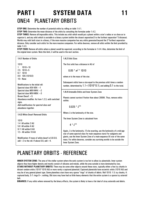## **PART I SYSTEM DATA 11** ONE/4 PLANETARY ORBITS

**STEP ONE:** Determine the number of potential orbits by rolling on table 1.4.1.

**STEP TWO:** Determine the mean distance of the orbits by consulting the formulae under 1.4.2.

**STEP THREE:** Remove all impossible orbits. This include any orbit which would put a planet within a star's radius or so close as to vaporize it, and any orbit which is unstable in a binary system (within the closest separation/3 to the furthest separation\*3 distance). Worlds may orbit both stars in a binary, if the more massive companion has any orbits generated beyond the 3\*furthest separation distance. Only consider such orbits for the more massive companion. For white dwarves, remove all orbits within the limit provided by table 1.4.3.

**STEP FOUR:** Remove all orbits where a planet would be vaporized, according to the formulae in 1.4.4. Also, determine the limit of the original inner system. Note this limit, it will be used in the next section.

| 1.4.1 Number of Orbits                                                                             | 1.4.2 Orbit Sizes                                                                                                                                                           |
|----------------------------------------------------------------------------------------------------|-----------------------------------------------------------------------------------------------------------------------------------------------------------------------------|
| 1D <sub>10</sub><br>$1D10 + 10$                                                                    | The first orbit has a distance in AU of                                                                                                                                     |
| $1D10 + 5$<br>2.5<br>6-7 1D10                                                                      | $0.05 * m^2 * 1D10$                                                                                                                                                         |
| 8-9 1D5 (1D10/2)<br>$10 + None$                                                                    | where $m$ is the mass of the star.                                                                                                                                          |
| Modifications to the initial roll:<br>Spectral class K5V-K9V: +1                                   | Subsequent orbits have a size equal to the previous orbit times a random<br>number, determined by $1.1 + (1D10*0.1)$ , and adding 0.1 to the total.                         |
| Spectral class MOV-M4V: +2<br>Spectral class M5V-M9V: +3                                           | 1.4.4 Untenable Orbits and Inner System Zone                                                                                                                                |
| Brown Dwarf: $+5$<br>Abundance modifier: As from 1.2.3, with switched<br>signs.                    | Planets cannot survive if hotter than about 2000K. Thus, remove orbits<br>within:                                                                                           |
| Add modifications for spectral class and<br>abundance together.                                    | $0.025 * L^{0.5}$                                                                                                                                                           |
| <b>1.4.3 White Dwarf Removed Orbits</b>                                                            | Where $L$ is the luminosity of the star.                                                                                                                                    |
| 1D <sub>10</sub>                                                                                   | The Inner System Zone is calculated from                                                                                                                                    |
| 1-4 All within 2 AU<br>5-8 All within 4 AU                                                         | $4 * L^{0.5}$                                                                                                                                                               |
| 9-11 All within 6 AU<br>12 + All within 10 AU                                                      | Again, $L$ is the luminosity. (To be exacting, use the luminosity of a mid-age<br>star of same spectral class for main sequence stars) For subgiants and                    |
| Modification: If mass of white dwarf is 0.6-0.9,<br>add $+2$ to the roll. If above 0.9, add $+4$ . | giants, use the Inner System Zone of a main-sequence (V) star of the same<br>mass. For white dwarves, consider any surviving worlds to be outside the<br>Inner System Zone. |

### PLANETARY ORBITS - REFERENCE

**INNER SYSTEM ZONE:** The area of the stellar system where the early system is too hot to allow icy planetoids. Inner system objects thus have higher density and mostly consist of silicates and metals, while the area outside is more dominated by ices. **STARS WITHOUT PLANETARY ORBITS:** There may be some other objects around these stars, typically either a few icy chunks in distant random orbits (1D10\*1D10 AU) or more rarely a captured planetoid. Captured planetoids have eccentric orbits (1D10 AU) and may be of any general planet type. Some planetless stars have very sparse "rings" of chunks of debris. Roll 1D10: 1-3: icy chunks, 4: captured body, 5-7: rings 8+: nothing. Old stars may have had so little heavy elements that the entire system is a sparse icy asteroid belt.

**BINARIES:** If any orbits where removed by the binary effects, the system is likely to have a fair deal of stray asteroids and debris.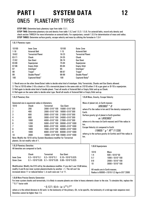## **PART I SYSTEM DATA 12** ONE/5 PLANETARY TYPES

**STEP ONE:** Determine basic planetary type from table 1.5.1.

**STEP TWO:** Determine planetary size and density from table 1.5.2 and 1.5.3 / 1.5.6. For asteroid belts, record only density and check section THREE/4 for more information on asteroid belts. For superjovians, consult 1.5.5 for determination of mass and radius. **STEP THREE:** Determine surface gravity, escape velocity and mass by utilizing the formulae in 1.5.4

| 1.5.1 Planetary types                                                                                                                                                                                                                                                                                                                                                                                                                                                                                                                                                                                                                                                                                                                                                                      |                                                                                                                                                                                                                                                        |  |  |                                                                                                                                                                                                                                                                                                                                                                                                                                                                                                                                                                                                                                                                                                                                                                                                   |                                                                                                                                                                                                                                                                                                                                                                                                                                                 |                                                                                                             |                                                                                                                                              |  |
|--------------------------------------------------------------------------------------------------------------------------------------------------------------------------------------------------------------------------------------------------------------------------------------------------------------------------------------------------------------------------------------------------------------------------------------------------------------------------------------------------------------------------------------------------------------------------------------------------------------------------------------------------------------------------------------------------------------------------------------------------------------------------------------------|--------------------------------------------------------------------------------------------------------------------------------------------------------------------------------------------------------------------------------------------------------|--|--|---------------------------------------------------------------------------------------------------------------------------------------------------------------------------------------------------------------------------------------------------------------------------------------------------------------------------------------------------------------------------------------------------------------------------------------------------------------------------------------------------------------------------------------------------------------------------------------------------------------------------------------------------------------------------------------------------------------------------------------------------------------------------------------------------|-------------------------------------------------------------------------------------------------------------------------------------------------------------------------------------------------------------------------------------------------------------------------------------------------------------------------------------------------------------------------------------------------------------------------------------------------|-------------------------------------------------------------------------------------------------------------|----------------------------------------------------------------------------------------------------------------------------------------------|--|
| 1D100<br>$1 - 18$<br>19-62<br>63-71<br>72-82<br>83-86<br>87-96<br>97<br>98<br>99<br>100                                                                                                                                                                                                                                                                                                                                                                                                                                                                                                                                                                                                                                                                                                    | Inner Zone<br><b>Asteroid Belt</b><br><b>Terrestrial Planet</b><br><b>Chunk</b><br><b>Gas Giant</b><br>Superjovian<br><b>Empty Orbit</b><br>Interloper <sup>1</sup><br>Trojan <sup>2</sup><br>Double Planet <sup>3</sup><br>Captured Body <sup>4</sup> |  |  | <b>Outer Zone</b><br><b>Asteroid Belt</b><br><b>Terrestrial Planet</b><br>Chunk<br><b>Gas Giant</b><br>Superjovian<br><b>Empty Orbit</b><br>Interloper <sup>1</sup><br>Tropian <sup>2</sup><br>Double Planet <sup>3</sup><br>Captured Body <sup>4</sup><br>1: Reroll once on the other (Inner/Outer) table to decide what kind of interloper. Only Terrestrials, Chunks and Gas Giants allowed.<br>2: This is (1D10) either (1-9) a chunk or (10) a terrestrial planet in the same orbit as (1D10) either (1-8) a gas giant or (9-10) a superjovian.<br>3: Roll again to decide what kind of double planet. Treat all results of Asteroid Belt or Empty Orbit and up as Chunk.<br>4: Roll again on the same table to decide what type. Reroll all results of Asteroid Belt or Empty Orbit and up. |                                                                                                                                                                                                                                                                                                                                                                                                                                                 |                                                                                                             |                                                                                                                                              |  |
|                                                                                                                                                                                                                                                                                                                                                                                                                                                                                                                                                                                                                                                                                                                                                                                            |                                                                                                                                                                                                                                                        |  |  |                                                                                                                                                                                                                                                                                                                                                                                                                                                                                                                                                                                                                                                                                                                                                                                                   |                                                                                                                                                                                                                                                                                                                                                                                                                                                 | 1.5.4 Mass, Gravity, Escape Velocity                                                                        |                                                                                                                                              |  |
| 1.5.2 Planetary Size<br>Generated size is equatorial radius in kilometers.<br>1D10<br><b>Gas Giant</b><br><b>Terrestrial</b><br>Chunk<br>200<br>$2000 + D10*100$<br>15000+D10*300<br>1<br>400<br>$2000 + D10*100$<br>$18000 + D10*300$<br>2<br>3<br>600<br>$3000 + D10*100$<br>$21000 + D10*300$<br>800<br>$3000 + D10*100$<br>24000+D10*300<br>4<br>5<br>1000<br>$4000 + D10*100$<br>27000+D10*300<br>6<br>1200<br>$5000 + D10*100$<br>$30000 + D10*1000$<br>7<br>1400<br>$6000 + D10*100$<br>$40000 + D10*1000$<br>8<br>1600<br>7000+D10*100<br>$50000 + D10*1000$<br>9<br>$60000 + D10*1000$<br>1800<br>$8000 + D10*200$<br>2000<br>10000+D10*500 70000+D10*1000<br>10<br>Note: Modify the 1D10 roll by System Abundance modifier for Terrestrial<br>planets. Do not modify rolls of 1. |                                                                                                                                                                                                                                                        |  |  |                                                                                                                                                                                                                                                                                                                                                                                                                                                                                                                                                                                                                                                                                                                                                                                                   | Mass of planet (m), in Earth masses:<br>$(R 6380 ^3 * D)$<br>where $R$ is the radius in km and $D$ the density compared to<br>Earth.<br>Surface gravity $(g)$ of planet in Earth gravities:<br>$m   (R 6380)^2$<br>where $m$ is the mass (in Earth masses) and $R$ the radius in<br>km.<br>Escape Velocity (v) compared to Earth:<br>$(19600 * g * R)^{0.5}/11200$<br>where $g$ is the surface gravity (in Earths) and $R$ the radius in<br>km. |                                                                                                             |                                                                                                                                              |  |
| 1.5.3 Planetary Densities<br>All densities are compared to Earth.<br>Chunk<br><b>Gas Giant</b><br><b>Terrestrial</b><br><b>Inner Zone</b><br>$0.3 + 1D10*0.1$<br>$0.3 + 1D10*0.1$<br>$0.10 + 1D10*0.025$<br><b>Outer Zone</b><br>$0.1 + 1D10*0.05$<br>$0.1 + 1010 * 0.05$<br>$0.08 + 1D10*0.025$<br>Modification: Modify the D10 roll by the abundance modifier. If you don't use 1.5.6 below,<br>modify A and B-star inner system planets/chunks by another +1. The roll can't be<br>increased above 11 or reduced below 1, in such case use 1 or 11.                                                                                                                                                                                                                                     |                                                                                                                                                                                                                                                        |  |  |                                                                                                                                                                                                                                                                                                                                                                                                                                                                                                                                                                                                                                                                                                                                                                                                   |                                                                                                                                                                                                                                                                                                                                                                                                                                                 | 1.5.5 Superjovians<br>1D <sub>10</sub><br>$1-4$<br>$5-7$<br>$8-9$<br>10<br>All results are in Earth masses. | <b>Mass</b><br>$500 + 1D10*50$<br>$1000 + 1010*100$<br>$2000 + 1D10*100$<br>$3000 + 1D10*100$<br>Radius is 60000 + (1D10-1/2 Age in GY)*2000 |  |
| 1.5.6 More Precise Density Generation<br>For inner system chunks and terrestrials, it is likely to assume planets are richer in heavy elements closer to the star. To simulate this, replace the<br>"*0.1" factor with<br>حه ۵                                                                                                                                                                                                                                                                                                                                                                                                                                                                                                                                                             |                                                                                                                                                                                                                                                        |  |  |                                                                                                                                                                                                                                                                                                                                                                                                                                                                                                                                                                                                                                                                                                                                                                                                   |                                                                                                                                                                                                                                                                                                                                                                                                                                                 |                                                                                                             |                                                                                                                                              |  |

\* 0.127 / (0.4+ (*a* / *L* 0.5) )0.67

where *a* is the orbital distance in AU and *L* is the luminosity of the primary. (Or, to be specific, the luminosity of a mid-age main sequence star). Densities cannot be higher than 1.5.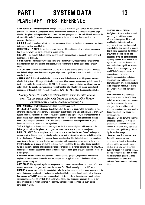## **PART I SYSTEM DATA 13** PLANETARY TYPES - REFERENCE

**VERY YOUNG SYSTEMS:** In systems younger than about 100 million years terrestrial planets will not yet have fully formed. These systems will be rich in random planetoids of a size somewhat like large chunks. Gas giants and superjovians form faster. Systems younger than 1GY probably still have dust in distant orbits and a fair amount of random planetoids in the outer system. Systems rich in dust generate IR-radiation.

**CHUNK:** A small airless body with trace or no atmosphere. Chunks in the inner system are rocky, those in the outer system more likely icy.

**(TERRESTRIAL) PLANET:** Larger than chunks, these worlds are big enough to retain an atmosphere (not all do, however) but not big enough to be gas giants.

**GAS GIANT:** Big planets that are mostly gas and usually have systems of moons. Detailed along with superjovians in THREE/5.

**SUPERJOVIAN:** The stage between gas giants and brown dwarves, these massive planets provide significant heat from gravitational contraction. Superjovians tend to disrupt other close planetary orbits.

**SIZE CLASSIFICATION:** The division into Chunks, Planets, and Gas Giants is a somewhat nebulous one. Indeed, a large chunk in the outer regions might have a significant atmosphere, and a small planet may be like a chunk.

**ASTEROID BELT:** Lots of small chunks in a more or less defined orbital area. All systems have stray chunks, but systems with large belts tend to have more. Also, younger systems are typically more rich in stray asteroids. If a massive planet (50-100 Earth masses or more) orbits just outside or inside an asteroid belt, the planet's LaGrange points typically contain a lot of asteroids, indeed a significant percentage of the actual belt's mass. Skip sections TWO/1 to TWO/3 when detailing asteroid belts.

*LaGrange Points: The points in an orbit 60 degrees before and after the main body. They can provide stable orbits in planetary and lunar orbits. The one preceding a body is called L-4 and the one trailing L-5.*

**EMPTY ORBIT:** An orbit that is empty. Perhaps you understood that?

**INTERLOPER:** A planet of a type and density typical of the outer or inner system but orbiting in the other one. This may be a high-density or low-density planet thrown into a distant orbit, or an anomaly in system creation. Interlopers are likely to have large eccentricities. Optionally, an interloper may be a planet with a much greater orbital distance than the rest of the system - treat the original orbit as an Empty Orbit and place the world 1+1D10 times the outermost orbit's average distance. Or, the interloper could be in the same but retrograde orbit.

**TROJAN:** Typically a sizable chunk but rarely (1 on 1D10) a terrestrial planet which orbits in the LaGrange point of another planet - a gas giant, very massive terrestrial planet or superjovian. **DOUBLE PLANET:** This is two planets which are so close in size that the term "moon" no longer is very descriptive. Double planets are tidally locked to each other - thus their rotation period is equal to their orbital period. Pluto and Charon are a double planet system. Due to tidal stress double planets are more likely in the outer system. Another option possible with chunk-sized bodies close to the star is that the chunks are in shared orbits and exchange them periodically. To generate a double planet roll twice on the same column, and generate distance by checking the distance for lunar objects (TWO/3). A double planet can also possibly be a large terrestrial moon of a gas giant, or even a gas giant "moon" of a superjovian.

**CAPTURED BODY:** This is a planet (chunk, terrestrial planet, gas giant, superjovian) which didn't originate with the system. It may be older or younger, and is typically in an inclined eccentric orbit, possibly even retrograde.

**OORT CLOUD:** Not a part of regular system generation, but most systems have such clouds of distant comets, remnants of the gas that formed the system. Oort Clouds typically lie up to 1 LY away. **NAMING:** A simple way to identify planets is to take the stellar name and add a roman numeral to it, in order of distance from the star. Empty orbits and asteroid belts are usually not numbered. In this way, Earth would be "Sol III". Moons may be named with a letter in order of their distance from the planet, very small moons may be omitted. Thus, Luna would be Sol IIIa. This is just one way. Moons in our solar system is given roman numerals in order they were discovered and rings are given letters, sometimes in Greek.

### **SPECIAL STAR SYSTEMS**

*Red giants*: A star that has evolved to a red giant will have several effects on the system. First of all, worlds close to the star will be engulfed by it, and thus they spiral inwards to be destroyed. It is possible that a world can survive if it does not endure this process for too long – especially if the red giant is cool and very big. Second, other worlds in the system will be heated. For worlds this can lead to a significant amount of mass is lost by outgassing – the world "boils" away and leaves a remnant core of silicates. Another problem is that red giants seldom are very stable in luminosity – they often vary. This would also have large effects on worlds. Red giants also undergo mass loss from stellar wind.

*White dwarves*: The disastrous formation of a white dwarf is likely to influence the system. Atmospheres may be blown away, the mass change of the star initiate orbit changes, gas giants may lose much of their atmosphere only leaving the dense core etc.

Thus, close worlds to white dwarves are unlikely to exist. The red giant phase would have destroyed such worlds. In the same way, icy worlds may have been significantly affected by the previous stage.

*Neutron stars*: Neutron stars are formed by supernovae, and supernovae will destroy the system – planets will be torn apart. However, neutron stars may have planetary systems though very strange ones. A blasted companion star may provide material for new "planets". These worlds are not habitable, the radiation from a neutron star is very high.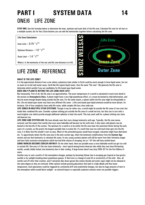## **PART I SYSTEM DATA 14** ONE/6 LIFE ZONE

**STEP ONE:** Use the formulae below to determine the inner, optimum and outer limit of the life zone. Calculate life zone for all stars in a multiple system, but for Very Close binaries you can add the luminosities together before calculating the life zone.

### **Life Zone Calculation**

Inner Limit = 0.75 \* *L* 0.5

Optimum Distance = 1.0 \* *L* 0.5

Outer Limit = 1.4 \* *L* 0.5

Where *L* is the luminosity of the star and life zone distance is in AU.

### LIFE ZONE - REFERENCE

### **WHAT IS THE LIFE ZONE?**

It is the approximate distance from a star where a planetary body similar to Earth could be warm enough to have liquid water, but not so warm as to boil said water away. Earth-like life require liquid water, thus the name "life zone". We generate the life zone to determine which worlds-if any-are candidates for life based upon liquid water.

### **DOES ONLY PLANETS WITHIN THE LIFE ZONE HAVE LIFE?**

Not necessarily. First of all, the life zone is an approximation. The exact temperature of a world is calculated in much more detail in the section on **Atmospheric Data**. A planet might have a very high greenhouse effect, or a moon be heated by tidal deformation, and thus be warm enough despite being outside the life zone. For the same reason, a planet within the life zone might be inhospitable to life. Life not based upon water may have very different life zones - a life zone based upon liquid ammonia would be more distant, for instance. Life of low complexity have wide life zones, while complex life has a less wide one.

**LIFE ZONES IN MULTIPLE STAR SYSTEMS:** Though it may be rather rare, a world might lie outside the life zones of two stars but inside their combined life zone. Consider a planet orbiting just outside the life zone of a small red star, but that star in turn orbit a much brighter star which provide enough additional radiation to heat the world. This may work well for a planet orbiting two close red dwarves too.

**LIFE ZONE AND SYSTEM AGE:** We have already seen that stars change luminosity with age. Typically, the life zone moves outward, and this means that worlds that once were habitable will become too hot with time. It also mean cold planets may be heated in the late life of the system. The optimum for a world is to be within the life zone (near the outermost limits) during the early years of a system, as this grants the longest possible time to evolve life. If a world that was too cold much later gets into the life zone, it is likely that life wouldn't start as easy. Much of the primordial gasses would have escaped, volcanism might have died down etc. To approximate where the life zone was in the early system age, check the luminosity modifications from the **System Age** section and use that luminosity to calculate life zones. In very young systems planets will still be warm from their formative stages and have fairly extensive atmospheres which has had little chance of escaping, but at 1 GY this will have settled down. **SOME WORLDS BECOME COOLER ANYWAY:** On the other hand, there are possible ways a once habitable world can get too cold to sustain life. One way is if the star loses luminosity - most typical among brown dwarves who while they may have life-bearing worlds, usually tidally locked, lose luminosity due to their cooling. A large brown dwarf may drop 200K /GY for the first billions of years.

Another way to cool a world is if the atmosphere changes, perhaps by becoming thinner due to escaping gas (typical on low-gravity worlds) or by sunlight breaking down greenhouse gasses. A third one is a change of axial tilt or eccentricity of the orbit. Also, all worlds cool off after their creation, and if volcanism dies down gasses like carbon dioxide and water vapor might not be released in the same degree as they are removed. Other options include growing glaciations that lead to a high albedo and thus lower temperature. Such glaciations could be triggered by continental drift and axial/orbital changes, but also by huge amounts of dust in the atmosphere which would block sunlight - an asteroid impact or especially explosive volcanic event are possible triggers.

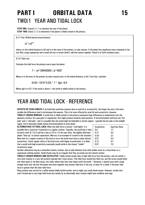## **PART I ORBITAL DATA 15** TWO/1 YEAR AND TIDAL LOCK

**STEP ONE:** Consult 2.1.1 to calculate the year of the planet. **STEP TWO:** Check 2.1.2 to determine if the planet is tidally locked to the primary.

**2.1.1** Year (Orbital period around primary)

 $(a^3 \mid m)^{0.5}$ 

where *a* is the orbital distance in AU and *m* is the mass of the primary, in solar masses. If the planet has significant mass compared to the star (like a large superjovian and a small red star or brown dwarf), add the masses together. Result is in Earth standard years.

**2.1.2** Tidal Lock

Calculate the tidal force the primary exerts upon the planet.

*T* = (*m*\*26640000) / (*a*\*400)<sup>3</sup>

Where *m* is the mass of the primary (in solar masses) and *a* is the orbital distance, in AU. From that, calculate

(0.83+1D10\*0.03) \* *T* \* *Age* / 6.6

Where *Age* is in GY. If the result is above 1, the world is tidally locked to the primary.

### YEAR AND TIDAL LOCK - REFERENCE

**EFFECTS OF YEAR LENGTH:** If an Earth-like world has seasons (due to axial tilt or eccentricity), the longer the year is the more notable the differences tend to be between the seasons. This is far more affected by axial tilt and eccentricity, however. **TIDALLY LOCKED WORLDS:** A world that is tidally locked to the primary experience huge differences in temperature over the planetary surface. On a gas giant or superjovian, this might produce immense wind patterns. A terrestrial planet will have one "hot pole" and a "cold pole", and it is possible that the world might be habitable in certain regions - typically the hot pole or the twilight

region. Part II describes tidally locked terrestrial planets in more detail.

**ALTERNATIVES TO TIDAL LOCK:** When the tidal force is around 1 and higher, it is possible that a world isn't locked but in a regular rotation. Typically, the world has a fairly eccentric orbit (0.1-0.2) and has a day of 2/3 or 1/2 the year (thus, the slightly deformed planet "lines up" at closest separation). Mercury is an example of a world in this situation. Note that for a regular rotation of this kind to occur the world must have a rather distinct eccentricity. Faster regular orbits of this kind occur with higher eccentricities. It is likely that a world with high eccentricity eventually would settle in the closest "stable" eccentricity range.

| Eccentricity<br>0.0<br>0.21<br>0.39<br>0.57<br>0.72 | Day/Year Ratio<br>1/1<br>3/2<br>2/1<br>5/2<br>3/1 |
|-----------------------------------------------------|---------------------------------------------------|
|                                                     |                                                   |
| 0.87                                                | 712                                               |
|                                                     |                                                   |

Another alternative may be a somewhat chaotic rotation, due to tidal influence from other bodies (such as a close binary or a superjovian orbiting nearby). Small chunks may be so irregular that they are easily put into chaotic motion.

**TIDALLY LOCKED WORLDS AND SATELLITES:** Tidally locked worlds (due to high tidal force from the primary, and not merely a very slow rotation or a very old system) typically don't have moons. (The tidal force would lock them too, and the stress would either tear them apart or rip them away, into orbits where they later may impact with the world…) However, a special case with a large enough moon that can lock the planet and moon together may prevent tidal lock to the star, at least for a while, if the lunar tidal force is greater than the solar tidal force.

Ring systems may survive for a while around tidally locked worlds, and so might very small chunk-moons. However, worlds that aren't locked due to very high tidal forces but merely by an abnormally slow rotation might have satellites and rings.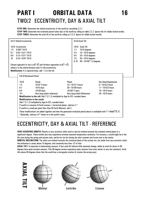## **PART I ORBITAL DATA 16** TWO/2 ECCENTRICITY, DAY & AXIAL TILT

**STEP ONE:** Determine the orbital eccentricity of the world by consulting 2.2.1. **STEP TWO:** Determine the rotational period (solar day) of the world by rolling on table 2.2.2. Ignore this for tidally locked worlds. **STEP THREE:** Determine the axial tilt of the world by rolling on 2.2.3. Ignore for tidally locked worlds.

|                               | 2.2.1 Orbital Eccentricity                                                                                                                                                                                                                                                                                                                                                                                                                                                                                                                                                                                                                                                                                                                                                                                                                                                                  |                                                                                                                                                                                                                |                                                                                                                                                                                            | 2.2.3 Axial Tilt |  |  |  |  |  |
|-------------------------------|---------------------------------------------------------------------------------------------------------------------------------------------------------------------------------------------------------------------------------------------------------------------------------------------------------------------------------------------------------------------------------------------------------------------------------------------------------------------------------------------------------------------------------------------------------------------------------------------------------------------------------------------------------------------------------------------------------------------------------------------------------------------------------------------------------------------------------------------------------------------------------------------|----------------------------------------------------------------------------------------------------------------------------------------------------------------------------------------------------------------|--------------------------------------------------------------------------------------------------------------------------------------------------------------------------------------------|------------------|--|--|--|--|--|
| $1-5$<br>$6 - 7$<br>8-9<br>10 | 1D10 Eccentricity<br>$0.005*1D10$<br>$0.05 + 0.01*1D10$<br>$0.15 + 0.01 * 1010$<br>$0.25 + 0.04 * 1010$                                                                                                                                                                                                                                                                                                                                                                                                                                                                                                                                                                                                                                                                                                                                                                                     | Closest approach to star is $a(1-E)$ and furthest separation is $a(1+E)$ ,<br>where $a$ is the orbital distance and $E$ is the eccentricity.<br><b>Modification:</b> If a captured body, add $+3$ to the roll. | <b>Axial Tilt</b><br>1D10<br>$1-2$<br>1D10 degrees<br>$3-4$<br>$10 + 1D10$ degrees<br>5-6<br>$20 + 1D10$ degrees<br>$7-8$<br>$30 + 1D10$ degrees<br>$9 - 10$<br>$40 + 1D100 * 1.4$ degrees |                  |  |  |  |  |  |
|                               | 2.2.2 Rotational Period                                                                                                                                                                                                                                                                                                                                                                                                                                                                                                                                                                                                                                                                                                                                                                                                                                                                     |                                                                                                                                                                                                                |                                                                                                                                                                                            |                  |  |  |  |  |  |
|                               | 1010<br>Chunk<br>Planet<br>Gas Giant/Superjovian<br>$1-5$<br>$1D10*2$ hours<br>$10 + 1D10*2$ hours<br>$6 + 1D10/2$ hours<br>$6-7$<br>1D10 days<br>$30 + 10100$ hours<br>$11 + 1D10/2$ hours<br>$8-9$<br>1D100 days<br>1D100*2 days<br>$16 + 1D10$ hours<br>$10 +$<br>Very long (check reference)<br>$26 + 1D10$ hours<br>Very long (check Reference)<br>Modification to the roll: Add $T$ (2.1.2) multiplied by Age (in GY), rounded down<br><b>Modifications to the result:</b><br>Add $T$ (2.1.2) multiplied by Age (in GY), rounded down<br>If world is a massive (4 Earth masses +) terrestrial planet, subtract 2.*<br>If world is a small gas giant (less than 50 Earth Masses), add 2.<br>These modifications are added together and then the generated rotational period above is multiplied with $1 + (mod*0.1)$ .<br>*Optionally, subtract $m^{0.5}$ where m is the world's mass. |                                                                                                                                                                                                                |                                                                                                                                                                                            |                  |  |  |  |  |  |

### ECCENTRICITY, DAY & AXIAL TILT - REFERENCE

**VERY ECCENTRIC ORBITS:** Planets in very eccentric orbits tend to also be inclined towards the standard orbital plane to a significant degree. These worlds also may experience extreme seasonal temperature variations. For instance, a world might be in the life zone during the spring and autumn only, and be far too hot during the short summer and frozen over in the winter.

**ORBITAL INCLINATION:** The orbits are inclined towards the rotational plane of the system too, but aside from very eccentric orbits the inclination is rarely above 10 degrees, and commonly less than 1/3 of that.

**AXIAL TILT:** Is important in determining seasons. A low axial tilt indicate little seasonal change, while an axial tilt closer to 90 degrees have quite extreme seasons. (The 90-degree version experience polar seasons from utter winter to very hot summers). Axial tilts above 90 degrees show that the world has a retrograde rotation (it rotates the wrong way).



Extreme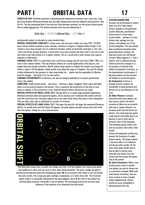## **PART I ORBITAL DATA 17**

**LENGTH OF DAY:** Primarily important in determining the temperature variations over a local day. Long days have greater difference between day and night temperatures and may influence wind patterns. (See Part II). The day determined here is the solar day (time between sunrises), not the actual rotation period (the so-called sidereal day). The relation between solar day and sidereal day is

*Solar Day =* 1 / ( ( 1 / *Sidereal Day* ) – ( 1 / *Year* ) )

and generally easiest to calculate by using standard days.

**SPECIAL CASES/VERY LONG DAY:** In these cases, the local day is either very long (100 + 1D1000) days), almost infinite (counted in years, decades, centuries or longer) or stopped (tidally locked). If the rotation is very slow one gets sort of a tidal lock situation, where an Earth-like world gets a "hot" and "cold" pole slowly moving. However, a world with a very slow rotation and fairly close to the star is also very close to get fully locked or in a regular rotation. Life on a world with a slow rotation may cope by migration or hibernation.

**VARIABLE AXIAL TILT:** It is quite likely that a world may change axial tilt over time (100kY-1MY), in a more or less random fashion. This can influence climate on a world significantly in the long run, and explain long-term climate variations. Worlds without large moons to stabilize the rotation can change tilt within a range of 25-30 degrees, stabile worlds more along the range of 5 degrees. The axial tilt change is likely influenced by the presence of other large bodies too – Jupiter may be responsible for Martian axial tilt changes – and Earth's too, for that matter.

**VARIABLE ECCENTRICITY:** Eccentricity can also be changed, generally by in-system gravitational forces. See sidebar.

**LIBRATION:** Tidally locked worlds – and moons – will have a slight "wiggling" effect which will allow them to not be exactly locked to the primary. This is caused by the eccentricity of the orbit of such moons or planets. If the eccentricity is very small the libration effect will also be very small.

**SPECIAL EFFECTS OF SMALL AXIAL TILT:** The big effect is to create large potential temperature difference between poles and equatorial regions, and as seasons won't moderate this worlds with low axial tilts often have very cool polar regions due to low solar infall, unless they have a thick atmosphere. This can allow polar caps on otherwise hot worlds, for instance.

**SPECIAL EFFECTS OF LARGE AXIAL TILT:** The larger the axial tilt, the larger the seasonal differences will be. For worlds with axial tilts above 45 degrees, the polar regions actually receive more solar infall than the equator, though on a very seasonal basis.



This illustration shows how a system can change over time. In **A** (see sidebar) two massive gas giants have ended up in orbits a bit too close to each other during formation. The outer, smaller gas giant is ejected and the ejection leaves the remaining gas giant (**B**) on an eccentric orbit which in turn can disrupt the inner system. In **C** a large gas giant, perhaps a superjovian, is in fairly close orbit. The terrestrial planet inside it is continually influenced by the large neighbor, and in **D** the orbit of that planet has become highly eccentric. Eventually it may be ejected. This increasing eccentricity can have large influence of the evolution of an otherwise Earth-like world.

### **SYSTEM DISRUPTION**

Systems can be disrupted in several ways, but all of them induce distinct changes to the generated system. Basically, gravitational action serves to throw away system bodies – perhaps in a more distant orbit, perhaps into the primary, and perhaps out of the system altogether. This has already been considered somewhat when generating binary systems, but long-term action can still disrupt systems. What happens is 1: that a planet's orbit is affected and the orbital eccentricity changes or 2: the presence of another body inhibits the planetary formation, as the planetesimals are disrupted. A big jovian planet can thus prevent the buildup of terrestrial planets. *By Companion:* In binary or multiple systems, planets are susceptible to being disrupted and thrown out by the influences of the stars.

*By Other Planets:* Continual interaction with other planets can also serve to affect the orbital eccentricity (Mars has an eccentric orbit due to Jupiter influence, for instance) and in the end throw out planets. Two close large gas giants could interact and finally lead to an ejection of one of them and an eccentric orbit of the remaining. The remaining planet could in turn with its eccentric orbit affect other worlds.

Jovian and superjovian worlds may prevent the formation of smaller planets nearby. The larger a planet is the more able it is to influence and disrupt other worlds. On the other hand, large worlds tend to also be able to remove stray asteroids and chunks from the system and thus lessen the impact rate in the system.

*By Close Encounters:* When a star system passes close to another star planets can also be thrown out or eccentricity changed. While such close passes uncommon, they are more common in more crowded stellar neighborhoods. Distant worlds are more susceptible to being disrupted this way.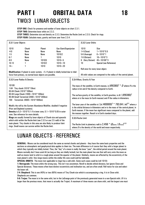## **PART I ORBITAL DATA 18** TWO/3 LUNAR OBJECTS

**STEP ONE:** Check for presence and number of lunar objects on chart 2.3.1.

**STEP TWO: Determine lunar orbits on 2.3.2.** 

**STEP THREE:** Determine size and density on 2.3.3. Determine the Roche Limit on 2.3.5. Check for rings.

**STEP FOUR:** Calculate mass, gravity and lunar year from 2.3.4.

| 2.3.1 Lunar Objects                                                                                                                                                                                                                                                                                      |                                            |                                                                |                                                                                                                                                                             |                       | 2.3.2 Lunar Orbits                                                                                                                                                                                                                                                                                                                       |                                                                                                                                 |  |  |  |
|----------------------------------------------------------------------------------------------------------------------------------------------------------------------------------------------------------------------------------------------------------------------------------------------------------|--------------------------------------------|----------------------------------------------------------------|-----------------------------------------------------------------------------------------------------------------------------------------------------------------------------|-----------------------|------------------------------------------------------------------------------------------------------------------------------------------------------------------------------------------------------------------------------------------------------------------------------------------------------------------------------------------|---------------------------------------------------------------------------------------------------------------------------------|--|--|--|
| <b>1D10</b><br>$-4-0$<br>$1-5$<br>$6 - 7$<br>$8-9$<br>$10-13$<br>$14 +$                                                                                                                                                                                                                                  | Chunk<br>None<br>None<br>None<br>None<br>1 | Planet<br>None<br>None<br>1D10/5<br>1D10/2<br>1D <sub>10</sub> | None<br>1D10/2<br>1D <sub>10</sub><br>$1D10 + 5$<br>$1D10 + 10$<br>$1D10 + 20$                                                                                              | Gas Giant/Superjovian |                                                                                                                                                                                                                                                                                                                                          | <b>Size</b><br>$1 + 1D10*0.5$<br>$6 + 1D10*1$<br>$16 + 1D10*3$<br>9 (Very Distant)<br>$45 + 1D100*3$<br>Special (see Reference) |  |  |  |
|                                                                                                                                                                                                                                                                                                          |                                            | force from primary, no normal lunar objects are possible.      | <b>Modification:</b> If planet in outer system, $+5$ . If planet is tidally locked due to tidal                                                                             |                       | Roll once for every lunar object.                                                                                                                                                                                                                                                                                                        | All orbit values are compared to the radius of the central planet.                                                              |  |  |  |
| 2.3.3 Lunar Radius & Density                                                                                                                                                                                                                                                                             |                                            |                                                                |                                                                                                                                                                             |                       | 2.3.4 Mass, Gravity & Year                                                                                                                                                                                                                                                                                                               |                                                                                                                                 |  |  |  |
| 1D100<br>1-64 Tiny chunk (1D10*10km)<br>65-84 Chunk (1D10*100km)<br>85-94 Large Chunk (1000 + 1D10*100km)<br>95-99 Small Terrestrial (2000 + 1D10*200km)<br>100 Terrestrial. (4000 + 1D10*400km)                                                                                                         |                                            |                                                                |                                                                                                                                                                             |                       | The mass of the satellite, in Earth masses, is $(R/6380)^3 * D$ where R is the<br>radius in $km$ and $D$ the density compared to Earth.<br>The surface gravity of the satellite, in Earth gravities, is $m / (R/6380)^2$<br>where $m$ is the mass (in Earth masses) and $R$ the radius in kilometers.                                    |                                                                                                                                 |  |  |  |
| Modify the roll by the System Abundance Modifier, doubled if negative<br>(Poor and Depleted systems).<br><b>Density</b> is $0.3 + 1010*0.1$ if in inner zone, $0.1 + 1010*0.05$ in outer<br>zone. See reference for more details.<br>Rings are usually formed by lunar objects of Chunk-size and upwards |                                            |                                                                |                                                                                                                                                                             |                       | The lunar year of the satellite is ( $(a$ /400000) <sup>3</sup> $*$ 793.64 / $m$ ) <sup>0.5</sup> where a<br>is the orbital distance in kilometers and $m$ is the mass of the central planet, in<br>Earth masses. If the moon has significant mass compared to the planet, add<br>the masses together. Result is in Earth standard days. |                                                                                                                                 |  |  |  |
|                                                                                                                                                                                                                                                                                                          |                                            |                                                                |                                                                                                                                                                             |                       | 2.3.5 Roche Limit                                                                                                                                                                                                                                                                                                                        |                                                                                                                                 |  |  |  |
| which orbit within the Roche limit (see 2.3.5 or use 2.5 radii) of the<br>main planet. Tiny chunks in this area are also likely to produce faint<br>rings. Small moons can survive within the Roche limit.                                                                                               |                                            |                                                                | The Roche Limit in planetary radii is 2.456 $*$ ( $D_{\text{planet}}$ / $D_{\text{moon}}$ ) <sup>0.33</sup><br>where $D$ is the density of the world and moon respectively. |                       |                                                                                                                                                                                                                                                                                                                                          |                                                                                                                                 |  |  |  |

### LUNAR OBJECTS - REFERENCE

**GENERAL:** Moons can be considered much the same as normal chunks and planets - they have the same basic properties and the sections on atmospheric and geophysical data applies to them too. The main difference is of course that they orbit a larger planet to which they typically are tidally locked. Thus, the "day" of a moon is really the lunar "year", the orbital period around the main planet. Moons normally don't have axial tilt (as long as they are tidally locked), but the main planet has one that will carry onto the moon as well as moons tend to orbit in a rough plane around the equator of the planet. Similarly, moons are affected by the eccentricity of the main planet's orbit. Very large moons within the stellar life zone could well be habitable.

**SPECIAL ORBITS:** The moon (not applicable to rings) has a odd orbit. Some such cases could be (roll 1D10):

**1: Retrograde:** The moon orbits the wrong way. This isn't too uncommon. Reroll to decide orbital distance, but ignore Close and Special distances. These moons often have distinct eccentricity and inclination too, and are often small. Roll twice for size and select the lower roll.

**2-4: Shepherd:** This is one (40%) or two (60%) moons of Tiny Chunk-size which is accompanying a ring. It is in Close orbit. Shepherds are common.

**5-6: Trojan:** The moon is in the same orbit, but in the LaGrange point of the previously generated moon in a non-Special orbit. (If it is larger than the previous moon, that moon is actually the Trojan). A maximum of three moons can share orbit, and the largest one must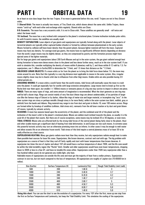## **PART I ORBITAL DATA 19**

be at least on size class larger than the two Trojans. If no moon is generated before this one, reroll. Trojans are not in Very Distant orbits.

**7: Shared Orbit:** The moon is actually two moons, of Tiny Chunk size, which shares almost the same orbit. Unlike Trojans, these moons "catch up" with each other and exchange orbits regularly. Shared orbits are Close.

**8-9: Eccentric.** The moon has a very eccentric orbit. It is not in Close orbit. These satellites are generally small - roll twice and select the lower result.

**10: Inclined.** The moon has a very inclined orbit compared to the planet's rotational plane. Extreme inclination includes polar orbits. As with Eccentric moons, the satellites are usually small.

**DENSITY SEPARATION:** Lunar objects of gas giants and superjovians are typically formed along with the planet. Lunar objects of terrestrial planets are typically either captured bodies (chunks) or formed by collision between planetesimals in the early system. Moons formed by collision will have lower density than the parent planet, because lighter material will form the moon. Captured moons may have any density. For average-sized gas giants, the moons have no significantly different density depending on distance from the world. Larger moons may be slightly denser, as they are compressed by gravity and the formation process might have ejected some of the lighter materials.

But for large gas giants and superjovians (about 200 Earth Masses and up) in the outer system, the gas giant radiated enough heat during formation to leave more dense moons close to the planet and less dense further away, much as in the star system itself. If you wish to simulate this, consider multiplying the density of moons within 8 planetary radii by 2, and those within 8-12 radii by 1.5. For superjovians, use 7+(Mass in Earths/300) to determine the \*2 limit, and 1.5 times that distance as the \*1.5 limit.

**UNLOCKED LUNAR OBJECTS:** If a moon orbits so far from the planet as to bring the tidal force down below 7-8, the moon may rotate around its axis. Note that this typically is a very big distance most applicable to moons in the outer system. Also, irregular moons slightly closer may be in chaotic orbit due to influences from other (big) moons. Stable orbits are also possible having 2/3 orbital periods etc.

**CRASHING MOONS:** If a moon orbits a world faster than the world rotates, tidal forces will eventually cause the moon to crash onto the planet. It could get especially fast for worlds with large extensive atmospheres. Large moons tend to break up first as the Roche limit tear them apart, but smaller (<100km) moons or remnants pieces of a big one may survive to impact in almost one piece.

**RINGS:** There are many types of rings, and some amount of imagination is recommended. What the chart generate as one ring may well be half a dozen rings. Rings can consist mainly of very fine dust (these rings are almost undetectable), of ice particles of larger size (like the famous rings of Saturn) or by darker, ribbon-like rings of meter-size and larger material, or incomplete ring "arcs". In the inner system rings are stony or perhaps metallic (though stony is far more likely), while in the outer system ices (dark, reddish, gray or whitish) form the bands and ribbons. Ring material may range in size from dust and grain to blocks 10, even 100 meters across. Rings are formed either by breakup of satellites (collision, tidal stress etc), remnants from the old lunar creation or by dust and grain blown off moons, typically by volcanic activity.

**SEASONS:** A moon has seasons based upon the eccentricity of the planet, and the combined axial tilt of the planet and the inclination of the moon's orbit to the planet's rotational plane. Moons are seldom much inclined towards the plane, so usually it is the axial tilt of the planet that counts. But there are of course exceptions, some moons may be inclined 20 or 30 degrees, or even more. **TIDAL STRESS:** Moons who are affected both by the strong tidal forces of the central planet (being fairly close to the planet, thus)

and other sizable moons get a significant deal of heating from tidal deformation. Io and Europa are two such moons. In extreme cases this powerful tectonic activity may turn an otherwise promising moon into an inferno. In other cases it may be enough to melt water and allow oceanic life on an otherwise frozen world. Tidal stress of this kind require a central planetary mass of at least 30 to be really effective as a heat source.

**SUPERJOVIAN HEATING:** Many gas giants radiate more heat than they receive, but only superjovians radiate enough heat to make them possible heat sources for lunar life zones. Superjovians, like brown dwarves, contract and cool with age. The big problem with superjovians as a source of heat is that they cool off fairly rapidly and start with lower temperatures than brown dwarves. A superjovian ten times the size of Jupiter and about 1GY old would have a surface temperature of about 700K, and the life zone would be within the tidal instability region (the "Roche" limit). Smaller and older superjovians would have even lower temperatures, dropping down to 300K or less in a few GY, and have no tenable life zones either. Superjovians cooler than 750K (any superjovian older than a few hundred million years) do not generate any visible light, only heat.

Habitable moons of superjovians are outside the life zone and must get the majority of heat from a stellar primary. Superjovians contract in size too, but not much compared to the loss of temperature. All superjovians are roughly of Jupiter-size (70-80000 km in radius).

| Size (Earths) | Surface Temperature (K) | Luminosity(1Gy) | Rough Tidal Stability Limit (radii) |
|---------------|-------------------------|-----------------|-------------------------------------|
| 500           | 200                     | $1.6E-8$        | м                                   |
| 1000          | 240                     | $3.4E-8$        | 3.7                                 |
| 1500          | 280                     | $6.2E-8$        | 4.2                                 |
| 2000          | 340                     | 1.4E-7          | 4.7                                 |
| 2500          | 400                     | $2.6E-7$        |                                     |
| 3000          | 460                     | $4.5E - 7$      | 5.3                                 |
| 3500          | 530                     | $8.0E-7$        | 5.6                                 |
| 4000          | 610                     | 1.4E-6          | 5.9                                 |

**Using this chart**: You can use the chart to see the evolution of a superjovian. For every 1GY after the first, move up one step from the first on Surface Temperature and Luminosity, but keep the Tidal Stability Limit. This simulates the cooling of the superjovian.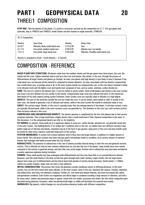## **PART I GEOPHYSICAL DATA 20** THREE/1 COMPOSITION

**STEP ONE:** Take the density of the planet, if a chunk or terrestrial, and look up the composition on 3.1.1. (For gas giants and asteroids, skip to THREE/4 and THREE/5. Small Chunks are best treated as single asteroids. (THREE/4).

|  |  | 3.1.1 Composition |
|--|--|-------------------|
|--|--|-------------------|

| Density       | Oute   |
|---------------|--------|
| $0.15 - 0.30$ | Ices.  |
| $0.30 - 0.45$ | Silica |
| $0.45 - 0.60$ | Silica |
|               |        |

**Outer Zone** Silicate core, ice mantle. Silicates. Possible small metal core.

Density is compared to Earth. 1 Earth Density = 5.5 g/cm3.

### COMPOSITION - REFERENCE

**BASIC PLANETARY STRUCTURE:** All planets aside from the smallest chunks and the gas giants have three layers, the core, the mantle and the crust. Lighter materials tend to end up in the crust and heavier, like metals, in the core, through the process of differentiation all larger chunks and planets go through. An inner zone planet with high density is thus likely to have it because it has a big metal core, not because all the material is composed by heavier elements. An inner zone planet with low density comparatively has a small metal core, or perhaps none at all. In the outer system metals are comparatively rare, so the core (heavy material) is likely to be silicates (rock) and the lighter crust and mantle more composed of ices, such as water, ammonia, carbon dioxide etc.

**CORE:** The core of a world is the densest part. It may be molten or partly molten. Some small planets and chunks in the outer system may have a not-very defined core very similar to the mantle. Comparatively large cores may indicate that parts of the mantle has been blown off by early impacts during system formation. Outer system cores are typically made of silicates to a high degree.

**MANTLE:** This part of the world lies outside the core but inside the crust. It can be molten, semi-molten or solid. In worlds in the inner zone, the mantle is generally a mix of silicates and metals, while in the outer system the mantle is commonly made of ices. **CRUST:** The surface region. Density of the crust is typically lower than the average density of the planet. In the inner system, crusts are typically silicate-based, while in the outer systems crusts are generally icy. The thickness of the crust vary with tectonic activity. Plate tectonics indicate a thin crust.

**COMPRESSED AND UNCOMPRESSED DENSITY:** The density question is complicated by the fact that planets due to their gravity compress materials. Thus a large world have a higher density than a small world even if their chemical composition is the same. In this document, it is the compressed density we refer to, for simplicity.

**ICY BODIES:** Icy planets, those made up to a significant degree of water ice, carbon dioxide, ammonia etc, are generally found only in the outer system. The building blocks of icy bodies don't condense close to the star. Icy bodies have very different tectonics than bodies made out of silicates and metals, volcanism may be in the form of gas geysers, large parts of the crust and even mantle could be molten by tidal stress. Impacts could melt large parts of the surface.

**SYSTEM ABUNDANCE:** A system rich in heavy elements tend to have more and larger planets, in addition to a higher amount of heavy metals. Very old (poor) systems may have only gas giants and perhaps small icy worldlets, as no serious amount of material heavier than hydrogen and helium existed when the star formed.

**RADIOACTIVES:** The presence of radioactives in the core of planets provides internal energy to melt the core and generate tectonic activity. This is affected not only by how common radioactives are, but also the size of the planet. Large worlds have more volume compared to the surface to generate energy, and thus they stay active longer. System rich in radioactives may have been enriched by a nearby supernova explosion during formation.

**CHUNKS:** These small worlds may have undergone little differentiation and thus may have little or no core/mantle/crust division. However, even the small chunks in the inner system has gone through some small heating. Larger chunks, like the large moons, always have some sort of differentiation and has had at least brief periods of activity during formation. Small chunks (<200km radius) are usually irregular, larger ones are more or less spherical.

**INITIAL CONDENSATION:** The process that forms the planetary system condenses matter at differing distances. In the outer system, ices are the norm mixed with some silicates. In the inner system, close to the star, elements like calcium, titanium, aluminum and radioactives, and many rare elements condense. Further out, iron metal and related minerals, and some non-metals like carbon and germanium condense. Even further out magnesium and silicon begin to condense (creating a large amount of silicates), and still a bit away sulfur, sodium and potassium begin to appear, mixed with iron oxides, pyroxenes and olivine. But this initial composition gets disturbed during planetary formation, when the planetesimals begin to collide and distribute the material more evenly. **ANOMALIES:** Big impacts, orbital changes etc can all produce planetary bodies with different composition.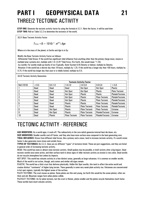## **PART I GEOPHYSICAL DATA 21** THREE/2 TECTONIC ACTIVITY

**STEP ONE:** Generate the tectonic activity factor by using the formula in 3.2.1. Note the factor, it will be used later. **STEP TWO:** Roll on Table 3.2.2 to determine the tectonics of the world.

**3.2.1** Base Tectonic Activity Factor

$$
T_{Factor}
$$
 = (5 + 1D10) \*  $m^{0.5}$  | Age

Where *m* is the mass of the planet, in Earths and *Age* is in Gy.

Modify the Base Tectonic Activity Factor as follows:

-Differential Tidal Stress: If the world has significant tidal influence from anything other than the primary (large moon, moons in multiple lunar systems etc), multiply with 1.0+0.25\*Tidal Force. (For Earth, this would mean \*1.25).

-Icy worlds: For worlds made up mostly of ice (Typically, Outer System 0.45 Density or below), multiply by Density.

-Rotation: If the world has a shorter day than 18 hours, multiply by 1.25. If the world has a longer day than 100 hours, multiply by 0.75. If the world has longer day than year or is tidally locked, multiply by 0.5.

**3.2.2** Tectonic Activity Generation

|                    | <b>Tectonic Activity Factor</b> |                 |                       |                       |                         |                         |  |  |
|--------------------|---------------------------------|-----------------|-----------------------|-----------------------|-------------------------|-------------------------|--|--|
| <b>Roll (1D10)</b> | < 0.5                           | $0.5 - 1.0$     | $1.0 - 2.0$           | $2.0 - 3.0$           | $3.0 - 5.0$             | > 5.0                   |  |  |
|                    | Dead                            | Dead            | Dead                  | <b>Hot Spot</b>       | <b>Hot Spot</b>         | Plastic                 |  |  |
| 2                  | Dead                            | Dead            | <b>Hot Spot</b>       | <b>Hot Spot</b>       | Plastic                 | <b>Plate Tectonic</b>   |  |  |
| 3                  | Dead                            | Dead            | <b>Hot Spot</b>       | <b>Plastic</b>        | <b>Plastic</b>          | <b>PlateletTectonic</b> |  |  |
| 4                  | Dead                            | <b>Dead</b>     | <b>Hot Spot</b>       | <b>Plastic</b>        | <b>Plate Tectonic</b>   | <b>PlateletTectonic</b> |  |  |
| 5                  | Dead                            | Dead            | <b>Hot Spot</b>       | <b>Plastic</b>        | <b>Plate Tectonic</b>   | <b>PlateletTectonic</b> |  |  |
| 6                  | Dead                            | Dead            | <b>Plastic</b>        | <b>Plastic</b>        | <b>Plate Tectonic</b>   | <b>PlateletTectonic</b> |  |  |
|                    | Dead                            | Dead            | <b>Plastic</b>        | <b>Plate Tectonic</b> | <b>Plate Tectonic</b>   | <b>PlateletTectonic</b> |  |  |
| 8                  | Dead                            | <b>Hot Spot</b> | <b>Plastic</b>        | <b>Plate Tectonic</b> | <b>Plate Tectonic</b>   | <b>Extreme</b>          |  |  |
| g                  | Dead                            | <b>Hot Spot</b> | <b>Plastic</b>        | <b>Plate Tectonic</b> | PlateletTectonic        | Extreme                 |  |  |
| 10                 | Dead                            | <b>Plastic</b>  | <b>Plate Tectonic</b> | <b>Plate Tectonic</b> | <b>PlateletTectonic</b> | Extreme                 |  |  |

### TECTONIC ACTIVITY - REFERENCE

**AGE MODIFIERS:** As a world ages, it cools off. The radioactivity in the core which generate internal heat die down, etc. **SIZE MODIFIERS:** Smaller worlds cool off faster, and they also have more surface area compared to the heat-generating core. **TIDAL INFLUENCE:** Stress from different tidal forces, like a primary and a moon, tend to increase tectonic activity. If a world rotate faster it also generates more stress and coriolis force.

**TYPES OF TECTONICS:** On 3.2.2. there are six different "types" of tectonics listed. These are just suggestions, and they are listed in general order of increasing tectonic activity.

DEAD: This world has none or almost none tectonic activity. Small quakes may be possible, or brief activity after a big impact. Dead tectonic worlds once were active, and their surface tend to show signs of older tectonic activity as erosion is very slow. Dead worlds do not recycle atmosphere lost unless by impacts.

HOT SPOT: This world has volcanic activity in a few distinct areas, generally as large volcanoes. It is common on smaller worlds. Much of the world is not active, though, and craters and similar old signs remain.

PLASTIC: The world has a thick crust that deforms plastically. Unlike Hot Spot worlds, this tend to affect the entire world and creates distinct "continents" of higher lying terrain. There generally is some very weak plate activity too. Volcanoes are concentrated in hot spot regions, typically the highest areas of the surface.

PLATE TECTONIC: The crust moves as plates. Some plates are thin and young, (on Earth this would be the ocean plates), other are thick and old. Mountain ranges form when plates collide.

PLATELET TECTONIC: As for plate tectonic, but the crust is thinner, plates smaller and the plates recycle themselves much faster. These worlds have much volcanic activity.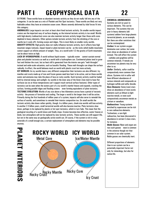## **PART I GEOPHYSICAL DATA 22**

EXTREME: These worlds have so abundant tectonic activity as they do not really fall into any of the categories. It can be seen as a mix of Platelet and Hot Spot tectonics. These worlds are likely not very habitable unless they have an extensive ocean cover. Moons severely deformed by tidal forces fit into this category.

**ANOMALIES:** Large impacts can start at least short-lived tectonic activity. On smaller worlds impact craters are the important way of surface shaping, as the internal tectonic activity is too small. Worlds with high-density (radioactive) cores can also maintain tectonic activity longer than those with cores depleted in heavy elements. Other options include tectonic activity from the shrinking of the core or mantle (as it cools off), forming scarps and ridges. This is most likely on smaller rocky worlds.

**GRAVITY EFFECTS:** High gravity does not really influence tectonic activity, but it affects how high mountain ranges (volcanic, impact based or plate-tectonic) can be - as the rocks which builds mountains cannot support an infinite amount of weight. Thus, on a world with 1/2 the gravity of Earth mountains can be about twice as high.

**LACK OF HYDROSPHERE:** A world without liquid oceans – typically water – cannot sustain normal plate and platelet tectonics as well as a world with a hydrosphere can. Continental plates tend to grow fast and thicken the crust, but as heat still is generated from the interior one gets "melt-throughs" instead and wide-scale volcanism, such as basaltic flooding. These melt-throughs can shape the surface radically. In effect, the world behaves much as world with plastic crust but more actively.

**ICY WORLDS:** As icy worlds have a very different composition their tectonics are also different. Icy mantles and crusts made up of ices and frozen gasses need less heat to be active, and on these worlds water and ammonia may take the place of lava on rocky worlds. Such tectonic activity could be fueled both by internal energy and sunlight. Icy worlds in the inner area of the Outer Zone tend to have flat surfaces (as ice at those temperatures can't support much vertical surface features). Other types of tectonics can be seen when the watery part of a icy world's mantle freezes and expands, cracking the

surface, forming parallel ridges and flooding craters – even forming equivalents of plate tectonics. **TECTONIC EVOLUTION:** Worlds of any size above a few kilometers across have a period of tectonic activity - the process of formation and cooling. The larger a world is the longer time it will be active. Primarily during the first hundreds of million years of a system, impacts will also serve to remodel the surface of worlds, and sometimes to remodel their interior composition too. On small worlds the tectonic activity dies down rather quickly, though. In a billion years, chunk-size worlds will lose activity. In another 2-3 billion years, small terrestrial worlds will also become inactive. Plate tectonics slow down, perhaps to be replaced by plastic or hot spot tectonics, which in turn fade. This mean that the geological recycling of a world slows and finally stops. Erosion becomes less effective, water freezes or binds, lost atmosphere will not be replaced by new tectonic activity. These worlds can still support life, but not in the same way an geologically active world can. Of course, if the system is rich in stray asteroids of a small enough size, a certain replacement of atmosphere and elements may be possible anyway.

**PLANET INTERIORS** 



### **CHEMICAL ABUNDANCES**

Systems are rich (or poor) in various elements. This can be important. The systems that are poor in heavy elements (old systems) seldom form large planets terrestrial planets, as an example. But there are other variations that can be contemplated:

*Carbon*: In our system oxygen dominates over carbon, but some stars show an abundance of carbon instead. This will affect the system

– carbides and graphites will be common minerals. If metals are uncommon too planets may be very alien to us.

*Sulfur*: Similarly, sulfur could be comparatively more common than silicon. Systems rich in sulfur will have different abundances of various minerals and compounds as hydrogen sulfide and sulfur dioxide. *Rare Elements:* Some (rare) stars show an abundance of more exotic elements such as lithium (a light reactive metal), or even such comparatively uncommon metals as yttrium or vanadium.

*Radioactives*: Young systems enriched by supernovae can be rich in rare radioactive elements. Technetium, a rare light radioactive, has been discovered in abundance in certain C-class stars, for instance.

*Noble Gasses:* Neon and argon are two such gasses – neon is common in the universe though not that common in our solar system. Noble gasses are chemically inert.

Different proportions of elements than in our system can be a potentially important factor not only for mineralogy, but also for native life.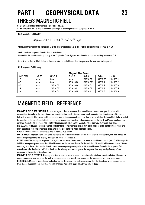### **PART I GEOPHYSICAL DATA 23** THREE/3 MAGNETIC FIELD

**STEP ONE:**. Generate the Magnetic Field Factor on 3.3.

**STEP TWO:** Roll on 3.3.2 to determine the strength of the magnetic field, compared to Earth.

**3.3.1** Magnetic Field Factor

*MagFactor =*10 \* 1 / ( *d* / 24 )0.5 \* *D 2* \* *m*0.5 / *Age*

Where *m* is the mass of the planet and *D* is the density ( in Earths), *d* is the rotation period in hours and *Age* is in GY.

Modify the Base Magnetic Activity Factor as follows: -Icy worlds: For worlds made up mostly of ice (Typically, Outer System 0.45 Density or below), multiply by another 0.5.

Note: A world that is tidally locked or having a rotation period longer than the year use the year as rotation period.

**3.3.2** Magnetic Field Strength

|                    |        | <b>Magnetic Field Factor</b> |             |             |             |            |  |  |  |
|--------------------|--------|------------------------------|-------------|-------------|-------------|------------|--|--|--|
| <b>Roll (1D10)</b> | > 0.05 | $0.05 - 0.5$                 | $0.5 - 1.0$ | $1.0 - 2.0$ | $2.0 - 4.0$ | >4.0       |  |  |  |
| $1-3$              | None   | None                         | None        | 1D10*0.001  | 1D10*0.05   | $1D10*0.1$ |  |  |  |
| 4.5                | None   | None                         | 1D10*0.001  | 1D10*0.002  | $1D10*0.1$  | $1D10*0.2$ |  |  |  |
| $6 - 7$            | None   | 1D10*0.001                   | 1D10*0.002  | $1D10*0.01$ | $1D10*0.2$  | $1D10*0.3$ |  |  |  |
| $8-9$              | None   | 1D10*0.002                   | 1D10*0.01   | 1D10*0.05   | $1D10*0.3$  | $1D10*0.5$ |  |  |  |
| 10                 | None   | 1D10*0.01                    | 1D10*0.05   | $1D10*0.1$  | $1D10*0.5$  | $1D10*1.0$ |  |  |  |

### MAGNETIC FIELD - REFERENCE

**MAGNETIC FIELD GENERATION:** To have a magnetic field of a decent size, a world must have at least part liquid metallic composition, typically in the core. It does not have to be that much, Mercury has a weak magnetic field despite most of its core is believed to be solid. The strength of the magnetic field is also dependant upon how fast a world rotates. It also is likely to be affected by specifics of the core (liquid FeS abundance, in particular), and thus two rather similar worlds like Earth and Venus can have very different magnetic fields (Venus has  $1/1000<sup>th</sup>$  the magnetic field of Earth). Magnetic fields can vary in strength over time. **NO MAGNETIC FIELD:** Though all worlds probably have some magnetic field, it may be so small as to be uninteresting. Venus and

Mars both have very small magnetic fields. Water can also generate weak magnetic fields. **GAUSS VALUE:** Earth has a magnetic field of about 0.305 Gauss.

**INCLINATION:** Magnetic fields tend to be inclined to the rotational axis of a world. If you wish to simulate this, you may decide the inclination (compared to the axis) by rolling on the Axial Tilt table (**2.2.3**).

**EXTENSION:** The stronger a magnetic field is, the further away from a world it extends. A world with a weak (0.01-0.001) magnetic field has a magnetospause about 1world radii away from the surface. For an Earth-sized field, 10 world radii are more typical. Worlds with magnetic fields 10 times the size of Earth's have magnetospauses perhaps 50-100 radii away. Actually, the magnetic field extends much farther in the "tail" direction from the primary, and for gas giants the magnetic field may be significantly offset compared to the center of the planet too.

**MAGNETIC FIELD EFFECTS:** The magnetic field of a world helps to shield it from the solar wind and cosmic radiation. However, a dense atmosphere may cover for the lack of a average magnetic field. It also generates the phenomena we know as *auroras*. **REVERSALS:** Magnetic fields change inclination (on Earth, we use this fact when we see that the deviations of compasses change from decade to decade), but they also reverse (changing North and South poles) from time to time.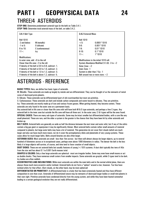## **PART I GEOPHYSICAL DATA 24** THREE/4 ASTEROIDS

**STEP ONE:** Determine predominant asteroid type (in the belt) on Table 3.4.1. **STEP TWO:** Determine total asteroid mass of the belt, on table 3.4.2.

| 3.4.1 Belt Type                                    |                                                    | <b>3.4.2 Asteroid Mass</b>                         |                                     |  |
|----------------------------------------------------|----------------------------------------------------|----------------------------------------------------|-------------------------------------|--|
| <b>Roll 1D10</b>                                   |                                                    | <b>Roll 1D10</b>                                   |                                     |  |
| -2 and below:                                      | M (metallic)                                       | $< 5$ :                                            | $0.0001*1D10$                       |  |
| $-1$ to 5:                                         | S (silicate)                                       | $5-6.$                                             | $0.001*1D10$                        |  |
| 6 to 10:                                           | C (carbonaceous)                                   | $7-8:$                                             | $0.01*1D10$                         |  |
| $11 +$ :                                           | lcv                                                | $9 - 10.$                                          | $0.1*1D10$                          |  |
|                                                    |                                                    | $11 +$ :                                           | $1*1D10$                            |  |
| <b>Modifications:</b>                              |                                                    |                                                    |                                     |  |
| In outer zone, add $+6$ to the roll                |                                                    | Modifications to the initial 1D10 roll:            |                                     |  |
|                                                    | Closer than life zone: -2 to the roll.             | System Abundance Modified $(1.1.3)$ : $-3$ to $+2$ |                                     |  |
| If density of the belt is 0.6 to 0.8, subtract -1. |                                                    | Outer Zone: $+2$                                   |                                     |  |
| If density of the belt is 0.8 to 1.0, subtract -2. |                                                    | Inner Zone: -1                                     |                                     |  |
|                                                    | If density of the belt is 1.0 to 1.2, subtract -3. |                                                    | System is older than 7 Gy: -1       |  |
|                                                    | If density of the belt is above 1.2, subtract -5.  |                                                    | Belt around two or more stars: $+2$ |  |

### ASTEROIDS - REFERENCE

**BASIC TYPES:** Here, we define four basic types of asteroids.

M: Metallic. These asteroids are made up largely by metals and are differentiated. They can be thought of as the remnants of metal cores of destroyed proto-planets.

S: Silicate. These asteroids can be differentiated (part of old crust/mantles) but most are primitive.

C: Carbonaceous: These asteroids are dark and include carbon compounds and water bound to silicates. They are primitive. Icy: These asteroids are mostly made up of ices and various frozen gasses. When getting heated, they become comets. These

asteroids are only found in the outer zone on a permanent basis.

Any asteroid belt in life zone or closer than life zone orbit will have both M & S type asteroids, and perhaps a few C-types. Any asteroid belt in the inner zone but outside the life zone will have all three sort. In the outer zone, C & I-types will be the ones found. **SPECIAL CASES:** There are many sub-types of asteroids. Some may be intact smaller but differentiated bodies, with a core like any small planetoid. These are rare, and the older a system is the greater is the chance that they have been hit by other asteroids and broken up.

**BELT SIZES:** Asteroid belts are generally as wide as half the distance between the next inner and outer orbit, but if any of the orbits contain a big gas giant or superjovian it may be significantly thinner. Most asteroid belts contain rather small amounts of material compared to planets, but large outer belts may have a lot of material. This generation do not cover Oort clouds (which are much larger and also can have much more mass), nor do it cover the protoplanetary disks and planetoids of very young systems. These cases allow for much larger belts. Belts around binaries are also often larger.

**ASTEROID SIZES:** Most asteroids are small - less than 1km across - but there will almost always be larger objects, up to several hundred of kilometers across or in exceptional cases, perhaps even above 1000 kilometers in radius. The denser the belt is the less likely it is large objects will survive, of course, and time tend to favor creation of small objects.

**DUST DISKS:** These are not asteroid belts but usually features of young (<1GY) systems. A dust disk typically lies tens of AUs from the star and has about 0.1 to 0.001 Earth masses total.

**SHAPES & COLORS:** Only a few large asteroids are spherical - most are irregular bodies. Some may even have small moons or act as double chunks. They have numerous small craters from smaller impacts. Some asteroids are grayish, while C-types tend to be dark. Icy bodies are often reddish.

**ECCENTRICITIES AND INCLINATIONS:** While most asteroids are within the main belts and in the normal orbital plane, there are always those much more eccentric and/or inclined. Asteroid belts do not form a "sphere" around a star, however. Too few have inclined orbits for that effect. (Oort clouds, on the other hand, may be more spherical)

**DIFFERENTIATED OR PRIMITIVE?:** A differentiated body is a body that has been extensively heated and thus have different composition in core than crust. Asteroids of differentiated nature may be remnants of destroyed larger bodies or small mini-planets in their own right. Primitive asteroids have condensed directly from the young system, and while they have been heated somewhat leading to a certain geological evolution they are not really differentiated.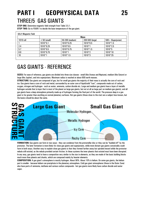## **PART I GEOPHYSICAL DATA 25** THREE/5 GAS GIANTS

**STEP ONE:** Determine magnetic field strength from Table 3.5.1. **STEP TWO:** Go to FOUR/1 to decide the base temperature of the gas giant.

|           | <b>Mass</b>    |                 |                 |                    |  |
|-----------|----------------|-----------------|-----------------|--------------------|--|
| 1D10 roll | $<$ 50 (small) | 50-200 (medium) | 200-500 (large) | 500+ (Superjovian) |  |
|           | $1D10*0.1$     | 1D10*0.25       | 1D10*0.5        | $1D10*1.5$         |  |
| $2-4$     | $1D10*0.25$    | $1D10*0.5$      | $1D10*1$        | $1D10*2.5$         |  |
| $5-7$     | $1D10*0.5$     | 1D10*0.75       | $1D10*1.5$      | $1D10*5$           |  |
| $8-9$     | $1D10*0.75$    | $1D10*1$        | $1D10*2$        | $1D10*10$          |  |
| 10        | $1D10*1$       | $1D10*1.5$      | $1D10*3$        | 1D10*25            |  |

### GAS GIANTS - REFERENCE

**SIZES:** For ease of reference, gas giants are divided into three size classes - small (like Uranus and Neptune), medium (like Saturn) or large (like Jupiter), and into superjovians. Maximum radius is reached at about 600 earth masses.

**STRUCTURE:** Gas giants are composed of gas, but for small gas giants the majority of their mass is actually the core of rock and ice. Gas giants have a core of rock and metal, surrounded by an outer core of liquid/solid "ices", compounds made out of carbon, oxygen, nitrogen and hydrogen - such as water, ammonia, carbon dioxide etc. Large and medium gas giants have a layer of metallic hydrogen outside that (a layer that is most of the planet on large gas giants, but not at all as large part on medium gas giants), and all gas giants have a deep atmosphere primarily made up of hydrogen forming the final part of the world. The pressure deep in a gas giant is far greater than anything on normal planetary surfaces. Hot gas giants (those close to the star) are a subject less known, but the basics should be about the same.



**FORMATION:** Gas giants can form in two ways - they can condense from the protostellar disc or they can be "budded off" by the protostar. The later formation is more likely for close gas giants and superjovians, while more distant gas giants conceivably could form in both ways. Another way to explain close gas giants is that they formed farther away but spiraled inward while the protostar nebula still existed, as the nebula provided certain friction. In these systems the inner planets that existed must have been disrupted. In any way, gas giants tend to have a composition very similar to the star in elements, as they are made of the basic building blocks much more than planets and chunks, which are composed mainly by heavier elements.

**COMPOSITION:** A gas giant's atmosphere is mostly hydrogen. About 90%. About 10% is helium. On some gas giants, the helium part is smaller - because helium can precipitate in the planetary atmosphere. Cold gas giant atmospheres (those in the Outer Zone) also have parts of ammonia, methane and various carbon compounds - hot gas giants more likely have carbon dioxide and water vapor.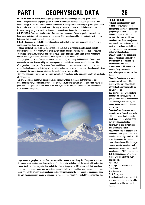## **PART I GEOPHYSICAL DATA 26**

**INTERIOR ENERGY SOURCE:** Most gas giants generate interior energy, either by gravitational contraction (common on large gas giants) or helium precipitation (common on cooler gas giants. This interior energy is important mainly to create the complex cloud patterns on many gas giants - giants with little interior energy will have much less in the way of patterns as there is so little internal convection. However, many gas giants also have distinct east-west bands due to their fast rotation.

**OBLATENESS:** Gas giants tend to rotate fast, and this gives most of them, especially the medium and large ones, a distinct flattened shape, or oblateness. Most planets are oblate, including terrestrial ones, but generally it is significant only on gas giants.

**COLOR:** Gas giants are tinted by their atmosphere, and while this may only be interesting as a note to world generation these are some suggestions:

-Hot gas giants will tend to be bluish, perhaps dark blue, due to atmospheric scattering of sunlight. Sulfuric compounds may form whitish or yellowish clouds, perhaps tinted by phosphorous compounds. -Warm gas giants (Life Zone) will also tend to have a basic bluish color, but water clouds would form notable white systems and they may be tinted by various other chemicals.

-Cool gas giants (outside life zone, but within the Inner zone) will have pale blue clouds of water and carbon dioxide, mostly covered by yellow-orange-brown clouds based upon ammonium hydrosulfide. -Cold gas giants (inner part of the Outer Zone) would have clouds of ammonia covering most of them. Ammonia clouds are white, but they will be stained yellow, red or brown by various other chemicals. Slow rotation or little convection may diminish the bandedness of these worlds.

-Very cold gas giants (further out) will likely have clouds of methane and a bluish color, with whiter clouds of methane ice.

-Extremely cold gas giants will be dark blue and virtually without clouds, as methane freezes out. Still, there are many possibilities. Atmospheric smog, haze, internal convection - all can affect how a gas giant look. Superjovians will also be affected by this, of course, tinted by the clouds that condense in their warmer atmospheres.



Large moons of gas giants in the life zone may well be capable of sustaining life. The potential problems for moons are the rather long day (as the "day" is the orbital period around the planet) which gives the moon itself a weaker magnetic field and distinct diurnal temperature differences, and that some large gas giants and superjovians may have strong magnetic fields which could provide too much dangerous radiation, like the Io's position around Jupiter. Another problem may be that moons of enough size could be rare, though arguably moons of gas giants in the inner zone have the potential to become rather big.

### **ROGUE PLANETS**

Although planets probably can't form on their own (except for superjovians and maybe the largest gas giants) it is likely to be a large amount of rogue worlds out between the stars, worlds that have been lost. Some superjovians may have formed on their own, but most will have been ejected from their systems by close encounters and gravitational action. *Chunks*: Most of the chunks are

likely to have been ejected from systems early in formation. As all systems must lose some planetesimals in this way these must be fairly common in interstellar space but very hard to detect.

*Planets*: Planets can also have been ejected, of course. These worlds will be very cold, though interior heat sources may still be active of course.

*Gas giants*: These will also have been ejected from systems. It is quite possible that at least some of their moon systems survive, and moons heated by tidal action may stay active.

*Superjovians*: These can have been ejected or formed separately. Old superjovians don't generate much heat, but the younger ones may provide some heating though not enough to heat a moon it its own to life zone status.

*Abundance*: Any estimate of how common these rogue worlds are is bound to be very hypothetical. Still, if we don't count the smallest chunks but only consider the larger chunks, planets, gas giants and superjovians, we can have several such bodies per 10LY cube, perhaps 1D5-1. (Remember, a lot of these worlds will end up in the much sparser halo). Roll 1D10:

1-4: Large Chunk (1000km+) 5-6: Planet 7-8: Gas Giant 9-10: Superjovian These bodies will be very cold but

otherwise much as normal worlds. Finding them will be very hard, though.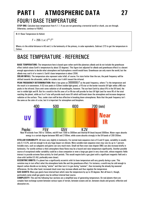## **PART I ATMOSPHERIC DATA 27** FOUR/1BASE TEMPERATURE

**STEP ONE:** Calculate base temperature from 4.1.1. If you are not generating a terrestrial world or chunk, you are through. Otherwise, continue to FOUR/2.

**4.1.1** Base Temperature (in Kelvin)

 $T = 255 / (a / L^{0.5})^{0.5}$ 

Where *a* is the orbital distance in AU and *L* is the luminosity of the primary, in solar equivalents. Subtract 273 to get the temperature in Celsius.

### BASE TEMPERATURE - REFERENCE

**BASE TEMPERATURE:** The temperature here is based upon rather earth-like planetary albedo and do not include the greenhouse effect (which raises Earth's temperature by about 33 degrees). This figure (not adjusted for albedo and greenhouse effect) is a decent enough approximate to decide what atmosphere and hydrosphere a world would have. Greenhouse can only warm the world, but the albedo may cool it of or warm it. Earth's base temperature is about 255K.

**SOLAR INFALL:** The temperature also represent solar infall, of course. For stars hotter than the sun, the peak frequency will be shifted towards the ultraviolet, while for coolers star it shift toward the infrared.

**PEAK FREQUENCY DETERMINATION:** Wien's law gives us 3000000/*T* as the peak frequency, where *T* is the temperature and the result is in nanometers. A G2-star peaks in 520nm (visible light:green), a FO-star at the border towards UV light while a M0-star peaks in the infrared. Stars emit some radiation at all wavelengths, however. The sun heat Earth by about 8% in the UV band, the rest in visible light and IR. But for a world in the life zone a K or M-star will provide far less UV light (and far more IR) of the total reaching the planet, while an A or F-star will provide much more UV which will break down the atmosphere and increase dangerous radiation at the surface. Thus, cooler stars will be less effective in breaking down atmospheres. Note that the peak frequency isn't the same as the color of a star, but it is important for atmosphere and biosphere.



Near IR extends from 700 to 1300nm, mid-IR from 1300 to 3000nm and thermal IR (heat) beyond 3000nm. Water vapor absorbs energy to a certain degree between 900 and 2100nm, while ozone absorbs strongly in the UV-bands of 200-350nm.

**STELLAR VARIABILITY:** All stars vary slightly in luminosity. For normal main-sequence stars of G and K types, variability is usually only 0.1-0.3%, and not enough to do any huge impact on climate. More variable main sequence stars may vary by up to 1 percent. Instable stars, such as subgiants and giants can vary much more. Small red flare stars (see chapter ONE) can also increase briefly in luminosity. For worlds without a thick atmosphere these flares may be a hazard and raise temperature significantly. Another possible source of exceptional stellar variability could be a close companion or even a large gas giant in very close orbit, whose magnetic fields interact to provide extreme flare activity for brief periods. This would require both a gas giant with a significant magnetic field and a close orbit (within 0.5 AU, preferably even closer).

**ECCENTRIC ORBITS:** If a planet has a significantly eccentric orbit its base temperature will vary greatly during a year. This variation may in turn affect what the atmosphere looks like and the greenhouse effect. For instance, a world may be cold enough to deposit carbon dioxide as ice during "winter" and then turn it to gas during "summer", thus increasing the already big seasonal differences. On the other hand, increased cloud cover may increase albedo and thus regulate the temperature…

**GAS GIANTS:** Many gas giants have internal heat which raise the temperature by up to 20 degrees. Not all have it, though, particularly some small gas giants may be without internal heat source.

**COMPLEXITY:** This and the following four sections are a simplified way of generating temperature. On real planets there are complex heat exchange system between various types of terrain, between oceans and air, between clouds and ground, reflection and absorption etc.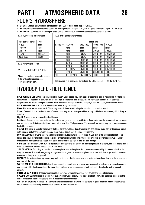## **PART I ATMOSPHERIC DATA 28** FOUR/2 HYDROSPHERE

**STEP ONE:** Check if the world has a hydrosphere on 4.2.1. If it has none, skip to FOUR/3. **STEP TWO:** Determine the extensiveness of the hydrosphere by rolling on 4.2.2, if 4.2.1 gave a result of "Liquid" or "Ice Sheet". **STEP THREE:** Determine the water vapor factor of the atmosphere, if a liquid or ice sheet hydrosphere is present.

| 4.2.1 Hydrosphere Determination |                  |  |  |  |  |
|---------------------------------|------------------|--|--|--|--|
| Base Surface Temp.              | <b>Type</b>      |  |  |  |  |
| > 500                           | None             |  |  |  |  |
| 370-500                         | Vapor            |  |  |  |  |
| 245-370                         | Liquid           |  |  |  |  |
| < 245                           | <b>Ice Sheet</b> |  |  |  |  |
| <b>Outer Zone</b>               | Crustal          |  |  |  |  |

**4.2.3** Water Vapor Factor

*Wv* = (*T*-240)/100 \* *h* \* D10

Where *T* is the base temperature and *h* is the hydrosphere percentage. Treat negative *W*v as 0.

|                |                   |                   | Radius (km)  |              |
|----------------|-------------------|-------------------|--------------|--------------|
| Roll(1D10)     | < 2000            | 2000-4000         | 4000-7000    | >7000        |
|                | None              | None              | None         | None         |
| 2              | None              | None              | 2D10%        | 2D10%        |
| 3              | None              | 1D10 <sup>%</sup> | $20 + D10%$  | $20 + 2D10%$ |
| 4              | None              | 1D10%             | $30 + 010%$  | $40 + 2D10%$ |
| 5              | None              | $10 + D10%$       | $40 + 010%$  | $60 + 1010%$ |
| 6              | 1D10%             | $20 + D10%$       | $50 + D10%$  | $70 + 1D10%$ |
| $\overline{7}$ | 1D10 <sup>%</sup> | $30 + D10%$       | $60 + D10%$  | $80 + 1010%$ |
| 8              | $10 + D10%$       | $40 + D10%$       | $70 + D10%$  | $90 + 1010%$ |
| 9              | 5D10%             | $50 + D10%$       | $80 + 2D10%$ | 100%         |
| 10             | $10 + 10D10%$     | $10 + 10D10%$     | 100%         | 100%         |

Modification: If in Inner Zone but outside the Life Zone, add +1 to the 1D10 roll.

### HYDROSPHERE - REFERENCE

**HYDROSPHERE-GENERAL:** This only considers *water*. Other liquids may form pools or oceans on cold or hot worlds. Methane on cold worlds, for instance, or sulfur on hot worlds. High pressure can be a prerequisite for non-water oceans. If you see that temperatures are within a range that would allow a common enough material to be liquid, it can form pools, lakes or even oceans. **HYDROSPHERE TYPE:** 4.2.1 lists five different kinds of hydrospheres:

**None:** The world has no water at all. There may be small deposits of ice in polar locations on an airless worlds.

**Vapor**: The world has water in the form of water vapor only. As water vapor seldom is very stable in an atmosphere, this is likely a small part.

**Liquid**: The world has a potential for liquid water.

**Ice Sheet:** The world can have water on the surface, but generally only in solid state. Some water may be permafrost, but ice sheets and ice caps are a definite possibility on worlds with more than 5% hydrosphere. Thick enough ice sheets may cover unfrozen oceans heated by tectonics.

**Crustal**: The world is an outer zone world that has not endured lunar density separation, and ice is a major part of the moon, mixed with silicates and other ices/frozen gasses. These worlds do not have a normal "hydrosphere".

**LOW PRESSURE:** If a world has low atmospheric pressure, liquid water cannot exist. (0.006 atm is the approximate limit). This means that liquid water is not possible on airless or near-airless worlds. The atmospheric pressure is determined in 4.2.3. Modify hydrospheres on these worlds - water may be as permafrost or ice caps if they are cold enough.

**CHANGES IN FURTHER CALCULATIONS:** Further developments will affect the base temperature of a world, and that means that a ice sheet world can become a ocean one. Or vice versa.

**SIZE OF WORLD:** According to theories how atmospheres and hydrospheres form, they are generated by 1) cometary infall in the early system and 2) volcanic outgassing. A larger world can generate more atmosphere and water, and thus larger worlds have more extensive hydrospheres. In general.

**IMPACTS:** Large impacts on icy worlds may melt the icy crust. In the same way, a large impact may bring dust into the atmosphere and cool off the world.

**WATER VAPOR & ECCENTRICITY:** In extreme cases, the eccentricity of a world may be enough to boil water at closest separation and freeze it at farthest separation. The vapor itself will add to both greenhouse effect and modify the albedo, so this can get complex.

**OUTER ZONE WORLDS:** These icy worlds seldom have real hydrospheres unless they are density-separated moons.

**SPECIAL CASES:** Ammonia-rich worlds may sustain liquid water below 273K, down to about 180K. The ammonia mixes with the water and acts as a defrosting agent. This is most likely around cool stars.

**WATER ON WORLDS WITHOUT HYDROSPHERE:** Small amounts of water can be found in polar locations on hot airless worlds. Water can also be chemically bound to rock, or exist in subsurface strata.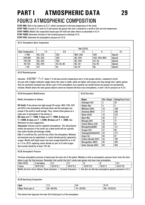## **PART I ATMOSPHERIC DATA 29** FOUR/3 ATMOSPHERIC COMPOSITION

**STEP ONE:** Roll on the column on 4.3.1 which correspond to the base temperature of the world.

**STEP TWO:** Consult 4.3.2 and 4.3.3 and remove the gasses that aren't retained by a world of this size and temperature.

**STEP THREE:** Modify the composition based upon UV infall and other effects as described in 4.3.4.

**STEP FOUR:** Determine fractions of the involved gasses by checking 4.3.5.

**STEP FIVE:** Determine the atmospheric pressure on 4.3.6.

### **4.3.1** Atmospheric Basic Composition

|                         | <b>Roll (1D10)</b> |                 |                |                      |                |  |  |
|-------------------------|--------------------|-----------------|----------------|----------------------|----------------|--|--|
| <b>Base Temperature</b> | 1-4                | $5-6$           | 7-8            |                      | 10             |  |  |
| >400                    | N2, CO2            | CO <sub>2</sub> | NO2, SO2       | <b>SO2</b>           | <b>Special</b> |  |  |
| 240-400                 | N2, CO2            | C <sub>02</sub> | N2, CH4        | <b>CO2, CH4, NH3</b> | <b>Special</b> |  |  |
| 150-240                 | N2, CO2            | C <sub>02</sub> | <b>N2, CH4</b> | H <sub>2</sub> , He  | <b>Special</b> |  |  |
| 50-150                  | N2, CH4            | H2, He, N2      | N2, CO         | He, H <sub>2</sub>   | <b>Special</b> |  |  |
| < 50                    | Н2                 | He              | <b>He, H2</b>  | Ne                   | <b>Special</b> |  |  |

**4.3.2** Retained gasses

Calculate  $\,$  0.02783  $^*$   $\,$   $\!$  /  $\rm v^2$  where  $\tau$  is the base surface temperature and  $\rm v$  is the escape velocity, compared to Earth. Any gas with a higher molecular weight above this value is stable, while any lighter will escape over long enough time. Lighter gasses that are constantly renewed may still be a part of the atmosphere, but in general you should remove any gasses not permanently retained. Worlds where the main gasses (above) cannot be retained will have trace atmospheres, so don't roll for pressure on 4.3.5.

**4.3.4** Atmospheric Modifications

Modify Atmosphere as follows:

and H2O in the atmosphere will break down and the hydrogen may **UV Infall:** If the primary has high enough UV output, NH3, CH4, H2S escape if the world is small enough. Thus, remove these gasses as a major part of atmosphere if the primary is

**BA-class** and **T>150K, F-class** and **T>180K, G-class** and **T>200K, K-class** and **T >230K, M-class** and **T > 260K**. See Reference for more suggestions.

**Volcanism:** Volcanic activity replenish atmospheres. This will primarily modify the pressure of the world, but a dead world will not typically have sulfur dioxide and hydrogen sulfide.

Life: If a world has life, such life may affect the atmosphere. Methane and ammonia may be replenished, or carbon dioxide (partly) replaced by oxygen. Worlds with liquid water may have oxygen-based life on a roll on 1-3 on 1D10, replacing carbon dioxide (or part of it) with oxygen. Such worlds should be at least 1GY old.

**4.3.3** Gas Data

| <b>Name</b>          | Mol. Weight | BoilingPoint(1atm) |
|----------------------|-------------|--------------------|
| Hydrogen (H2)        | 2           | 20                 |
| Helium (He)          | 4           | 4                  |
| Methane (CH4)        | 16          | 109                |
| Ammonia (NH3)        | 17          | 240                |
| Water (H2O)          | 18          | 373                |
| Neon (Ne)            | 20          | 27                 |
| Nitrogen (N2)        | 28          | 77                 |
| Carbon Monox (CO)    | 28          | 82                 |
| NitrogenOxide(NO)    | 30          | 121                |
| Oxygen (02)          | 32          | 90                 |
| HydrogenSulfide(H2S) | 34          | 212                |
| Argon (Ar)           | 40          | 87                 |
| Carbon Dioxide (CO2) | 44          | 195                |
| NitrogenDiox (NO2)   | 46          | 294                |
| Sulfur Dioxide (SO2) | 64          | 263                |

### **4.3.5** Atmospheric Pressure

The base atmospheric pressure is based upon the mass (*m*) of the planet. Multiply *m* with an atmospheric pressure factor from the chart below to get the final pressure. Remember that worlds that don't retain main gasses only have trace atmosphere.

| (1D10)<br>Roll | and<br>below | к. д     | n.,             |                 | c<br>×. | $10 +$  |
|----------------|--------------|----------|-----------------|-----------------|---------|---------|
| ractor         | 1D10*0.01    | 1D10*0.1 | 1D10*0.2<br>v.z | 1D10*0.5<br>υ.ο | 1D10*2  | 1D10*20 |

| Modify the first roll as follows: Dead volcanism: -1. Extreme Volcanism: +1. One (but not all) main atmospheric gasses removed in 4.3.2: - |  |
|--------------------------------------------------------------------------------------------------------------------------------------------|--|
|                                                                                                                                            |  |

### **4.3.6** Specifying Composition

| Roll                        | --<br>. .                          | ס-ט        | $\sim$<br>1 U            |
|-----------------------------|------------------------------------|------------|--------------------------|
| Maior<br>(first)<br>part is | 400<br>. AF<br>้งบ<br>1 U / U<br>™ | 2D10%<br>ᄁ | 10/2%<br><b>OL</b><br>u. |

This shows how large part the main (first listed gas) is of the atmosphere.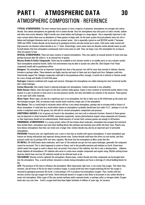## **PART I ATMOSPHERIC DATA 30** ATMOSPHERIC COMPOSITION - REFERENCE

**TYPICAL ATMOSPHERES:** The most common basic gasses to form a majority of planetary atmospheres are nitrogen and carbon dioxide. Very dense atmospheres are generally rich in carbon dioxide. Very hot atmospheres may have parts of sulfur trioxide, sodium and other more exotic elements. High-G worlds may retain helium and hydrogen to a large degree - this is especially important in the outer system where there was an abundance of these gasses to begin with. (In the inner system the proto-planets were not rich in helium and hydrogen) Ammonia tend to mix with any present water - this is especially typical on cool N2/CH4 worlds (*T* between 200K and 240K). Carbon dioxide can be bound up by geological activity and also locked up in water. Cold water under normal and high pressure can dissolve carbon dioxide at an 1-1 basis. Interestingly, warm water does not dissolve carbon dioxide nearly as well. Ice-ball planets that lose atmosphere continuously tend to lose mass as well. They can keep a very thin atmosphere for as long as there are gasses to lose.

**SPECIAL ATMOSPHERES:** There are many variants of special atmospheres. They may signify an unusual amount of some rarer gas, perhaps because alien life utilize it, or an unusual mix of gasses.

**Nitrous Oxides & Sulfur Compounds:** These may be available on hot volcanic worlds or as smaller parts on very volcanic worlds. Such atmospheres would be hostile. Sulfur-rich environments may be able to sustain very alien life. (See Chapter Five) These compounds would add to greenhouse effect.

**Halogens:** The atmosphere has an important (typically less than a few percent, but still far more than normal) of chlorine, fluorine, bromine or perhaps iodine. These elements are highly reactive and much of them may be in liquid acid form. Halogens could also theoretically support life. Halogen compounds could add to the greenhouse effect strongly. A world rich in chlorine or fluorine would be a very strange and deadly (to Earth life) place.

**Hydrogen:** Explosive combined with oxygen and reactive. Hydrogen-rich atmospheres are called *reducing* but most terrestrial worlds don't retain hydrogen.

**Carbon Monoxide:** Also mainly found in reducing hydrogen-rich atmospheres. Carbon monoxide is very unhealthy.

**Noble Gasses:** Helium, neon and argon are the most common noble gasses. Argon is most common on terrestrial worlds where it may amount to a pair of percent or even more in rare low-pressure worlds, but neon and helium are common in the universe. These gasses do not react with other materials.

**Water Vapor:** Water vapor can also be a significant part of an atmosphere, but this is fairly rare as UV infall break up the water and the hydrogen escapes. Still, on massive ocean worlds water could be a major part of the atmosphere.

**Very Dense:** This is a world dead in volcanism which still has a very dense atmosphere, perhaps due to extreme infall or history of dense atmosphere. It could also be a world which retains an atmosphere it probably should have lost under 4.3.2 - perhaps it is on the border to keep/lose some of the gasses, but still rolls for normal atmospheric composition and pressure.

**ADDITIONAL GASSES:** A lot of gasses are found in the atmosphere, but most only in miniscule fractions. Several of these gasses may be important in cloud formation (H2SO4, ammonium compounds, various photochemical organic smog compounds etc) however, so their importance should not be underestimated. Small amounts of certain fairly common gasses are enough to kill humans.

**PRIMORDIAL ATMOSPHERES:** In a young system, before UV has broken down molecules, atmosphere has escaped and volcanism have settled down, atmosphere *may* have basic building blocks like methane and ammonia even within the Inner Zone. Planets may have denser atmospheres than they can retain over a longer time. Carbon dioxide may also be an important part of primordial atmospheres.

**PRESSURE:** Pressure may vary significantly over a year or even day on worlds with sparse atmospheres, if some atmospheric gas freezes out during cold periods and vaporizes during warmer ones. Carbon dioxide could have this effect on cool worlds, and thus pressure could vary by perhaps 50% over time, regularly. We know that the atmosphere on Mars varies like this.

**UV INFALL:** UV infall breaks down molecules, and if part of the molecule can get lost into space (hydrogen, generally) the compound cannot be recreated. This is what happened to water on Venus, and to the possible ammonia and methane on Earth. Ozone layer (which needs free oxygen to reach a decent size) can protect from some of this radiation, but this is only a slowing-down – radiation slowly depletes all atmospheres. UV radiation also serve to create more complex compounds and organic smog. Worlds orbiting brown dwarves (which have very low UV radiation) would not be affected much at all.

**VOLCANISM:** Volcanic activity replenish the atmosphere. Bound water, carbon dioxide and other compounds can be brought back into the atmosphere. Thus, a world without volcanism is slowly losing atmosphere and faces a shortage of critical building blocks for life.

**LIFE:** The presence of life tend to influence the atmosphere. Most importantly right now, it can create free oxygen. This takes time, however, and all forms of life do not need or produce oxygen. A young world may have oxygen-producing life but the oxygen is removed by geological processes (On Earth, it took perhaps 3 GY to produce free atmospheric oxygen). Thus, worlds with low tectonic activity may get oxygen-rich faster. Some miniscule amount of oxygen is also likely to be present in any carbon dioxide or water-rich atmosphere. Other types of life may sustain methane and/or ammonia levels, or perhaps sulfur or nitrogen oxides. Oxygen levels also vary over time – Earth's oxygen level have been higher hundreds of millions of years ago, for instance.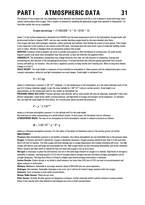## **PART I ATMOSPHERIC DATA 31**

The amount of free oxygen may vary depending on how abundant and advanced local life is, but in general a world with large warm oceans could produce more oxygen. This is easiest to simulate by tweaking the generated oxygen level upwards or downwards. For Earth-like worlds this can be a guideline

Oxygen percentage = (*T*-240)/200 \* *h* \* (5+1D10) \* 10

where *T* is the surface temperature calculated from FOUR/5 (*not* the base temperature) and *h* is the hydrosphere. Oxygen levels will be discussed further in chapter EIGHT, and you may consider deciding oxygen levels by the more detailed rules there. Free oxygen will react with hydrogen, ammonia, carbon monoxide and methane, thus limiting the extent of such gasses. Free oxygen is also important in the creation of any serious ozone (O3) layer. Life based upon the more exotic types of molecular building stones, such as sulfur, silicone or halogens does not necessarily produce free oxygen.

**ODDITIES:** Cometary infall on planets can serve to provide more gasses or shift the balance of existing ones. On small worlds, impacts usually strip away more atmosphere than they provide, so here the infall has the opposite effect.

**VARIABILITY:** The atmospheric composition may change distinctly over time, not only because of outgassing, freezing and overheating but also because of life and geological processes. If erosion becomes less effective gasses generated from tectonic activity will build up, for instance. This can form a regulatory process to keep worlds form freezing over. More on long-term climate change is in Part II.

**SCALE HEIGHT:** The scale height is a measure of how extended an atmosphere is. Heavy gasses and low temperatures give a more compact atmosphere, while hot and light atmospheres are much deeper. Scale height is calculated from

$$
H = kT \, mg
$$

where *k* is Boltzmann's constant (1.38\*10<sup>-23</sup> J/degree), *T* is the temperature of the atmosphere, *m* is the mean molecular mass of the gas (4.3.3.shows molecular weight, to get the mass multiply by  $1.66*10^{27}$ ) and *g* is surface gravity. Scale height is an approximation, as the temperature tend to vary within an atmosphere too.

**PRESSURE ABOVE SEA LEVEL:** Pressure decrease with altitude, and on some worlds this may be important, especially if they have distinct topography. Liquid water needs a certain pressure, and high levels of oxygen and nitrogen can be dangerous. To calculate this, we need the scale height (*H*) from before. At a certain point above sea level the pressure is

$$
P = p * 2.718^{(.h|H)}
$$

where *p* is the base atmospheric pressure, *h* is the altitude and *H* is the scale height.

Sea level may be rather uninteresting on a world without oceans. In such cases, use the lowest land as reference. **ATMOSPHERIC MASS:** The mass of an atmosphere (in Earth atmospheric masses) is related to pressure as follows:

$$
M = 2.46*10^{8} * p * R^{2} / g
$$

where *p* is the base atmospheric pressure, *R* is the radius of the planet (in kilometers) and *g* is the surface gravity (in Earths). **BREATHABLE?**

**Pressure:** High atmospheric pressure is not healthy to humans. Very dense atmospheres are not breathable due to the pressure alone. **Oxygen:** To humans and Earth's animal life, oxygen is absolutely necessary. Oxygen pressure should be less than 0.3 atm and more than 0.05 atm for humans. Too little oxygen and brain damage due to oxygen depravation and troubles breathing will occur. Too high oxygen will destroy eyes and lungs and send people into fits. High oxygen levels are also increasing flammability and attack materials. Plants, bacteria and alien forms of animal life may not need free oxygen or not at all as much.

**Nitrogen:** Is necessary to plant life and bacteria, but not in the same huge amounts as oxygen is to animals. High levels of nitrogen is unhealthy to humans - anything beyond 2.0-3.0 atm of nitrogen induces nitrogen narcosis and dense nitrogen atmospheres can be outright dangerous. The long-term effects of living in a higher-than-normal nitrogen environment is unknown.

**Carbon Dioxide:** Carbon dioxide is not lethal in small amounts, but more than 0.05 atm of CO2 can lead to unconsciousness and higher amounts to suffocation.

**Methane:** Methane is flammable in any larger amounts (above 0.06-0.08) and can cause explosions.

**Hydrogen:** Like methane, flammable. Hydrogen is not toxic, but it will not be found in larger amounts with free oxygen.

**Ammonia:** Toxic to humans in even small concentrations.

**Helium, Noble Gasses:** These are not toxic.

**Other Gasses:** Virtually all other gasses are dangerous to humans. Carbon monoxide (which could be common in young systems before it has reacted with other elements) and halogens are toxic in small concentrations.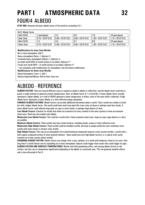## **PART I ATMOSPHERIC DATA 32** FOUR/4 ALBEDO

| 4.4.1 Albedo Factor |                    |                    |                    |                    |                      |
|---------------------|--------------------|--------------------|--------------------|--------------------|----------------------|
| <b>Roll (1D10)</b>  | l (and below)      | $2-3$              | 4-6                | 7.9                | 10 (and above)       |
| Inner Zone          | $0.75 + 1D10*0.01$ | $0.85 + 1D10*0.01$ | $0.95 + 1D10*0.01$ | $1.05 + 1D10*0.01$ | $1.15 + 1D10 * 0.01$ |
| <b>Roll (1D10)</b>  | $1-3$              | 4.5                | $6 - 7$            | 8.9                | 10 (and above)       |
| Outer Zone          | $0.75 + 1D10*0.01$ | $0.85 + 1D10*0.01$ | $0.95 + 1D10*0.01$ | 1.05+1D10*0.01     | $1.15 + 1D10*0.01$   |

### **Modifications for Inner Zone Worlds:**

No or trace atmosphere: Add 2.

Heavy atmosphere (5atm+): Subtract 2.

Extremely heavy atmosphere (50atm+): Subtract 4.

Ice sheet world (50% of world surface is ice sheet): Subtract 2\*

Frozen over world (90%+ of world surface is ice sheet): Subtract 4\*

\* not cumulative with modifications for atmosphere. Use the lowest modification.

**Modifications for Outer Zone Worlds:**

Dense Atmosphere (1atm+): Add 1.

Density Separated Moons: Roll on Inner Zone row.

### ALBEDO - REFERENCE

**ALBEDO FACTOR:** There are several different ways to measure a planet's *albedo* or *reflectivity*, and the albedo factor used here is purely a rough estimate to generate surface temperatures. Here, an albedo factor of 1 is Earth-like. A lower albedo factor actually represents a *higher* albedo, as it will in FOUR/5 generate a lower temperature. In effect, more of the solar infall is reflected. A high albedo factor represents a lower albedo, or a more effective energy absorption.

**VARIOUS ALBEDO FACTORS:** Albedo factors can provide additional information about a world. Take a world very similar to Earth, but with a higher albedo factor. This world could have much more plant life, more rocky surfaces or perhaps much less clouds. A lower albedo factor could indicate large polar ice caps or much clouds, or perhaps large deserts of sand.

**Low Albedo Factors:** Common for worlds that either are covered in ice (very common in the outer system) or have an extensive cloud cover. Sand may also explain such albedo.

**Moderately Low Albedo Factors:** This could be a world with a fairly extensive cloud cover, large ice caps, large deserts or a dirty ice satellite.

**Moderate Albedo Factors:** These worlds may have varied surfaces, including clouds, oceans or fairly reflective rocks. **Moderately High Albedo Factors:** These worlds could be cloudless worlds, all-ocean or jungle worlds but more commonly rocky worlds with some clouds or volcanic rocky worlds.

**High Albedo Factors:** This may be an atmosphere rich in photochemical compounds (typical in outer system worlds), a world with a dark organic-compound surface (C-class asteroid relatives - these would have very high albedo factors), or a typical rocky world (common on in inner system airless worlds).

**CHANGING ALBEDO FACTOR:** Albedo factors can change. Over a year, perhaps, on a world with temporary cloud or ice cover. Over long time if a world freezes over by expanding ice or loses atmosphere. Impacts could trigger cloud covers that could trigger ice ages. **ALBEDO FACTOR AND SURFACE TEMPERATURES:** Worlds with little greenhouse effect, and varying albedo factors on the surface, can thus vary in temperature significantly depending on the albedo at a particular spot. This can generate weather effects and is more discussed in Part II.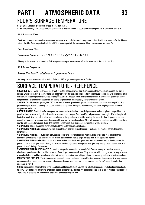## **PART I ATMOSPHERIC DATA 33** FOUR/5 SURFACE TEMPERATURE

**STEP ONE:** Calculate greenhouse effect, if any, from 4.5.1.

**STEP TWO:** Modify base temperature by greenhouse effect and albedo to get the surface temperature of the world, on 4.5.2.

### **4.5.1** Greenhouse Effect

The Greenhouse gas pressure is the combined pressure, in atm, of the greenhouse gasses carbon dioxide, methane, sulfur dioxide and nitrous dioxide. Water vapor is also included if it is a major part of the atmosphere. Note this combined pressure, *Pgr*.

**Final Greenhouse Effect**

*Greenhouse Factor* = 1 + *p* 0.5 \*0.01 \* 1D10 + *Pgr* 0.5 \* 0.1 + *W<sup>v</sup>* \* 0.1

Where *p* is the atmospheric pressure,  $P_{gr}$  is the greenhouse gas pressure and  $W<sub>r</sub>$  is the water vapor factor from 4.2.3.

**4.5.2** Surface Temperature

*Surface T* = *Base T* \* *albedo factor* \* *greenhouse factor*

Resulting surface temperature is in Kelvin. Subtract 273 to get the temperature in Celsius.

### SURFACE TEMPERATURE - REFERENCE

**GREENHOUSE EFFECT:** The greenhouse effect of certain gasses prevent heat from escaping the atmosphere. Gasses like carbon dioxide, water vapor, CFC's and methane are highly effective for this. The small parts of greenhouse gasses likely to be present on all worlds with an atmosphere is simulated by the  $\rho^{0.5*}$ 0.01\*1D10 factor (such as the small amounts of greenhouse gasses on Earth). Large amounts of greenhouse gasses do not add up to produce an arithmetically higher greenhouse effect.

**SPECIAL CASES:** Certain gasses, like CFC's, are very effective greenhouse gasses. Small amounts can have a strong effect. If a greenhouse gas freezes out during the cooler periods and vaporizes during the warmer ones, this could amplify normal seasonal temperature variations.

**CHECKING BACK:** The final surface temperature should be back-checked towards hydrosphere and atmospheric composition. It is possible that the world is significantly cooler or warmer than it began. This can affect a hydrosphere (freezing it). If a hydrosphere is heated so much it would boil, it is lost and contributes to the greenhouse effect by heating the planet further. If gasses are cooled enough to freeze out or become liquid, they may still be a part of the atmosphere. After all, on warmer spots on a world temperatures may be high enough to vaporize them. The Surface Temperature is an average. Equator region will be warmer. **VARIATIONS:** This is discussed in more detail in SIX/1. But these are some basics.

**VARIATIONS WITH DAY:** Temperatures rise during the day and fall during the night. The longer the rotation period, the greater differences.

**VARIATIONS WITH LATITUDE:** High latitudes are cooler and equatorial regions warmer. Solar infall falls in at an angle that decreases towards the poles, and this means stellar radiation must heat a larger surface than in the equatorial regions.

**VARIATIONS WITH SEASONS:** Axial tilt of a world makes solar infall on a given area vary with which pole is tilted towards the primary. Low axial tilt give small effects, but extreme axial tilts (close to 90 degrees) may give very strong effects as one pole is in perpetual "day" during a full season.

**VARIATIONS WITH ECCENTRICITY:** Eccentric orbits produce variations in solar infall. These are easy to calculate, assuming albedo and greenhouse effects will be the same. If not, it gets more complicated. Very eccentric orbits may give very strong effects a low albedo factor and low greenhouse effect at furthest separation, and a higher albedo factor and greenhouse effect when closer. **MODERATING FACTORS:** Thick atmospheres, preferably cloudy and greenhouse-effective, moderate temperature. A strong enough greenhouse effect could moderate even very long days. Oceans also moderate temperature as they "store" heat. This is further discussed in Part II.

**GAIA?:** Some people believe that a living ecosphere could regulate itself. I.e., the life adjusts greenhouse levels (and perhaps albedo) to allow a world to have an optimal or at least decent temperature. This has *not* been considered here at all. If you feel "habitable" or "Earth-like" worlds are too uncommon, just tweak the equations/rolls a bit.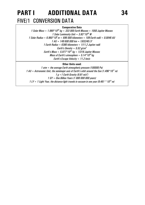## **PART I ADDITIONAL DATA 34** FIVE/1 CONVERSION DATA

### **Comparative Data**

*1 Solar Mass = 1.989\*10<sup>30</sup> kg = 333 000 Earth Masses = 1050 Jupiter Masses 1 Solar Luminosity Unit = 3.83\*10<sup>26</sup> W 1 Solar Radius = 6.960\*10<sup>8</sup> m = 696 000 kilometers = 109 Earth radii = 0.0046 AU 1 AU = 149 600 000 km = 1/63240 LY 1 Earth Radius = 6380 kilometers = 1/11.2 Jupiter radii Earth's Density = 5.52 g/cm<sup>3</sup> Earth's Mass = 5.977\*10<sup>24</sup> kg = 1/318 Jupiter Masses Mass of Earth's atmosphere = 5.14\*10<sup>18</sup>kg Earth's Escape Velocity = 11.2 km/s*

### **Other Units used:**

*1 atm = the average Earth atmospheric pressure (100000 Pa) 1 AU = Astronomic Unit, the semimajor axis of Earth's orbit around the Sun (1.496\*10<sup>11</sup> m) 1 g =1 Earth Gravity (9.81 m/s<sup>2</sup> ) 1 GY = One Billion Years (1 000 000 000 years) 1 LY = 1 Light Year, the distance light travels in vacuum in one year (9.461 \* 1015 m)*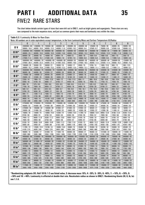## **PART I ADDITIONAL DATA 35** FIVE/2 RARE STARS

The chart below details certain types of stars that were left out in ONE/1, such as bright giants and supergiants. These stars are very rare compared to the main sequence stars, and just as common giants their mass and luminosity vary within the class.

|                 | 0                            |                              | $\overline{2}$              | 3            | 4                           | 5                           | 6                          | 7                           | 8                           | 9                          |
|-----------------|------------------------------|------------------------------|-----------------------------|--------------|-----------------------------|-----------------------------|----------------------------|-----------------------------|-----------------------------|----------------------------|
|                 |                              | 1200000 / 70                 | 700000 / 60                 | 400000 / 50  | 285000 / 45                 | 200000 / 40                 |                            |                             | 40000 / 25                  | 20000 / 20                 |
| 0 <sub>V</sub>  | 2000000 / 80<br>50000 / 19.0 | 48000 / 16.0                 | 46000 / 13.3                | 44000 / 11.0 | 42000 / 10.2                | 40000 / 9.4                 | 125000 / 35<br>37500 / 8.7 | 75000 / 30<br>35000 / 8.0   | 32500 / 6.6                 | 30000 / 5.3                |
|                 |                              |                              |                             | 600000 / 55  |                             |                             | 250000 / 40                |                             |                             |                            |
| 0 <sup>1</sup>  | 2500000 / 80<br>48000 / 23.1 | 1500000 / 70<br>46000 / 19.5 | 900000 / 60<br>44000 / 16.5 | 42000 / 14.8 | 500000 / 50<br>40000 / 14.9 | 340000 / 45<br>38500 / 13.3 | 36000 / 13.0               | 160000 / 35<br>33500 / 12.0 | 110000 / 30<br>31000 / 11.6 | 80000 / 25<br>29000 / 11.3 |
|                 | 60000 / 20                   | 30000 / 18                   | 15000 / 16                  | 8000 / 14    | 4000/12                     | 2000 / 10                   | 1500 / 9.4                 | 1000 / 8.6                  | $500$ $/ 7.8$               | 250/7.0                    |
| <b>B</b> IV*    | 27000 /11.3                  | 24000 / 10.1                 | 21500 / 8.9                 | 19600 / 7.8  | 16700 / 7.6                 | 14800 / 6.9                 | 13800 / 6.8                | 12800 / 6.5                 | 11800 / 5.4                 | 10800 / 4.6                |
|                 | 3000000 / 80                 | 1800000 / 70                 | 1400000 / 65                | 1050000 / 60 | 800000 / 55                 | 600000 / 50                 | 400000 / 45                | 300000 / 40                 | 200000 /35                  | 125000 / 30                |
| $0$ III $^*$    | 47000 / 26.4                 | 45000 / 22.3                 | 43000 / 21.5                | 41000 / 20.5 | 39000 / 19.8                | 37500 / 18.5                | 35000 / 17.4               | 32500 / 17.4                | 30000 / 16.7                | 28000 / 15.2               |
|                 | 100000 / 25                  | 55000 / 23                   | 30000 / 21                  | 18000 / 19   | 10000 / 17                  | 6500 / 15                   | 3700/14                    | 1900 / 13.5                 | 800 / 13                    | 360 / 12.5                 |
| B III*          | 26000 / 15.7                 | 23000 / 14.9                 | 21000 / 13.2                | 19200 / 12.2 | 16400 / 12.5                | 14600 / 12.7                | 13600 / 11.1               | 12600 / 9.2                 | 11600 / 7.1                 | 10600 / 5.7                |
|                 | 3500000 / 80                 | 2600000 / 75                 | 2000000 / 70                | 1550000 / 65 | 1200000 / 60                | 900000 / 55                 | 650000 / 50                | 430000 / 45                 | 320000 / 40                 | 230000 / 35                |
| 0 <sup>1</sup>  | 46000 / 30                   | 44000 / 28                   | 42000 / 27                  | 40000 / 26   |                             | 36500 / 24                  | 34000 / 23                 | 31500 / 22                  | 29000 / 23                  | 27000 / 22                 |
|                 | 170000 / 30                  | 130000 / 27                  | 95000 / 25                  | 60000 / 23   | 38000 / 26<br>32000 / 21    | 18600 / 19                  | 13500 / 18                 | 9400 / 17                   | 6800 / 16                   | 4000 / 15                  |
| $B II^*$        |                              |                              |                             | 18800 / 23   |                             |                             |                            |                             |                             |                            |
|                 | 25000 / 22                   | 22000 / 25                   | 20000 / 26                  |              | 16100 / 23                  | 14400 / 22                  | 13400 / 22                 | 13200 / 21                  | 11400 / 21                  | 10400 / 20                 |
| A II*           | 2200/14                      | 1900 / 13                    | 1650 / 12.5                 | 1400/12      | 1150 / 11.5                 | 850/11                      | 800/10.8                   | 750 / 10.6                  | 700 / 10.4                  | 650 / 10.2                 |
|                 | 9300 / 18                    | 9100 / 18                    | 8900 / 17                   | 8700 / 17    | 8450 / 16                   | 8200 / 15                   | 7950 / 15                  | 7750 / 15                   | 7550 / 16                   | 7300 / 16                  |
| FII*            | 600 / 10                     | 575/9.5                      | 550/9.0                     | 525/8.5      | 500 / 8.0                   | 510/8.1                     | 520/8.3                    | 530/8.5                     | 540/8.7                     | 550 / 8.9                  |
|                 | 7100 / 16                    | 7000 / 16                    | 6850 / 17                   | 6700 / 17    | 6550 / 18                   | 6400 / 19                   | 6250 / 20                  | 6100 / 21                   | 5950 / 22                   | 5800 / 23                  |
| G II*           | 560 / 9.1                    | 590 / 9.3                    | 620/9.5                     | 660 / 9.7    | 700 / 9.9                   | 740 / 10.1                  | 770 / 10.3                 | 740 / 10.5                  | 830 / 10.7                  | 860 / 10.9                 |
|                 | 5700 / 25                    | 5650 / 26                    | 5600 / 27                   | 550/28       | 5500 / 29                   | 5400 / 31                   | 5200/35                    | 4950 / 39                   | 4700 / 44                   | 4500 / 49                  |
| KII*            | 900 / 11                     | 1200 / 11.5                  | 1500 / 12                   | 1800 / 13    | 2100 / 14                   | 2450 / 14                   | 2800 / 14                  | 3200 / 14                   | 3600 / 14                   | 4100 / 14                  |
|                 | 4300 / 55                    | 4150 / 68                    | 4000 / 81                   | 3850 / 96    | 3750 / 111                  | 3650 / 125                  | 3550 / 141                 | 3450 / 160                  | 3350 / 180                  | 3250 / 205                 |
| $M II^*$        | 4600 / 14                    | 7400 / 14                    | 10100 / 14.5                | 12000 / 15   | 14500 / 15.5                | 14900 / 16                  | 15200/16.5                 | 15500 / 17                  | 15800 / 17.5                | 16200 / 18                 |
|                 | 3100 / 240                   | 2900 / 350                   | 2750 / 450                  | 2600 / 545   | 2500 / 650                  | 2400 / 710                  | 2300 / 780                 | 2200 / 865                  | 2150 / 915                  | 2100 / 970                 |
| 0 <sup>h</sup>  | 3750000 / 80                 | 2700000 / 75                 | 2200000 / 70                | 1700000 / 65 | 1450000 / 60                | 1200000 / 55                | 750000 / 50                | 475000 / 45                 | 350000 / 40                 | 320000 / 37                |
|                 | 45000 / 32                   | 43000 / 30                   | 41000 / 30                  | 39000 / 29   | 37000 / 30                  | 35500 / 29                  | 33000 / 27                 | 30500 / 25                  | 28000 / 25                  | 26000 / 28                 |
| $B*$            | 270000 / 35                  | 185000 / 32                  | 130000 / 30                 | 97000 / 27   | 61000 / 25                  | 47000 / 23                  | 38500 / 21                 | 31000 / 19                  | 24000 / 18                  | 19000 / 17                 |
|                 | 24000 / 30                   | 21000 / 33                   | 19500 / 32                  | 18200 / 32   | 15800 / 33                  | 14300 / 36                  | 13300 / 37                 | 12300 / 39                  | 11300 / 41                  | 10300 / 44                 |
| $A$ $Ib^*$      | 15000 / 16                   | 14400 / 15                   | 13800 / 14.5                | 13200 / 14   | 12500 / 13.5                | 11700 / 13                  | 10800 / 12.8               | 9950 / 12.6                 | 9100 / 12.4                 | 8250 / 12.2                |
|                 | 9100 / 50                    | 8900 / 51                    | 8700 / 52                   | 8500 / 53    | 8300 / 55                   | 8100 / 55                   | 7850 / 57                  | 7600 / 58                   | 7450 / 58                   | 7200 / 59                  |
| $F^{\dagger}$   | $\overline{7400}$ / 12       | 6800 / 11.6                  | 6200 / 11.2                 | 5600 / 10.8  | 5000 / 10.4                 | 5100 / 10                   | 5300 / 10                  | 5500 / 10                   | 5700 / 10                   | 5900 / 10                  |
|                 | 7000 / 59                    | 6900 / 58                    | 6750 / 58                   | 6600 / 58    | 6450/57                     | 6300 / 61                   | 6150/65                    | 6000 / 69                   | 5850 / 74                   | 5700 / 80                  |
| $G$ lb*         | 6100 / 10                    | 6500 / 10.4                  | 6900 / 10.8                 | 7300/11.2    | 7700 / 11.6                 | 8100 / 12                   | 8800 / 12.2                | 9500 / 12.4                 | 10200 / 12.6                | 10900 / 12.8               |
|                 | 5600 / 84                    | 5450/91                      | 5300 / 99                   | 5150/108     | 5000 / 118                  | 4850 / 129                  | 4700 / 143                 | 4550 / 158                  | 4400 / 175                  | 4250 / 195                 |
| $K^{\parallel}$ | 11700 / 13                   | 13500 / 13.5                 | 15100 / 14                  | 16900 / 14.5 | 18900 / 15                  | 20400 / 16                  | 25300 / 16                 | 30200 / 16                  | 35000 / 16                  | 40500 / 16                 |
|                 | 4100 / 215                   | 4000 / 245                   | 3900 / 270                  | 3800 / 300   | 3650 / 350                  | 3500 / 390                  | 3400 / 460                 | 3300 / 540                  | 3200 / 615                  | 3050 / 730                 |
| $M lb*$         | 46000 / 16                   | 53000 / 17                   | 61000 / 18                  | 71000 / 19   | 80000 / 20                  | 89000 / 21                  | 95000 / 22                 | 101000 / 23                 | 108000 / 24                 | 115000 / 25                |
|                 | 2900 / 860                   | 2800 / 990                   | 2650 / 1200                 | 2500 / 1400  | 2350 / 1700                 | 2200 / 2100                 | 2150 / 2250                | 2100 / 2400                 | 2050 / 2600                 | 2000 / 2850                |
| $0 la*$         | 4000000 / 80                 | 3250000 / 75                 | 2800000 / 70                | 2000000 / 65 | 1600000 / 60                | 1350000 / 55                | 900000 / 50                | 800000 / 47                 | 700000 / 45                 | 640000 / 42                |
|                 | 44000 / 35                   | 42000 / 34                   | 40000 / 35                  | 38000 / 33   | 36000 / 33                  | 34500 / 33                  | 32000 / 31                 | 29500 / 35                  | 27000 / 39                  | 25000 / 43                 |
| B la*           | 560000 / 40                  | 511000 / 37                  | 463000 / 35                 | 310000 / 32  | 251000 / 30                 | 204000 / 27                 | 184000 / 25                | 165000 / 23                 | 146000 / 21                 | 126000 / 19                |
|                 | 22000 / 52                   | 20000 / 60                   | 18500 / 67                  | 16400 / 70   | 15200 / 73                  | 14200 / 75                  | 13200 / 83                 | 12200 / 92                  | 11200 / 102                 | 10200 / 115                |
| A la*           | 107000 / 18                  | 101000 / 17                  | 96000 / 16                  | 91000 / 16   | 86000 / 15                  | 81000 / 15                  | 77000 / 14                 | 73000 / 14                  | 69000 / 14                  | 65000 / 13                 |
|                 | 9000 / 136                   | 8800 / 138                   | 8600 / 141                  | 8400 / 144   | 8200 / 147                  | 8000 / 150                  | 7800 / 153                 | 7600 / 157                  | 7400 / 161                  | 7150 / 168                 |
| F la*           | 61000 / 13                   | 59000 / 13                   | 57000 / 12                  | 55000 / 12   | 53000 / 12                  | 51000 / 12                  | 51000 / 12                 | 55000 / 12                  | 59000 / 12                  | 63000 / 12                 |
|                 | 6900 / 175                   | 6750 / 179                   | 6600 / 184                  | 6450 / 190   | 6300 / 195                  | 6100 / 204                  | 5950 / 215                 | 5800 / 235                  | 5650 / 256                  | 550 / 280                  |
| G la*           | 67000 / 12                   | 71000/12                     | 75000 / 13                  | 79000 / 13   | 84000 / 13                  | 89000 / 13                  | 91000 / 14                 | 93000 / 14                  | 95000 / 14                  | 96000 / 14                 |
|                 | 5400 / 300                   | 5250 / 325                   | 5100 / 350                  | 4950 / 390   | 4800 / 420                  | 4700 / 450                  | 4550 / 490                 | 4400 / 530                  | 4250 / 570                  | 4100 / 620                 |
|                 | 97000 / 14                   | 99000 / 15                   | 101000 / 15                 | 103000 / 16  | 105000 / 17                 | 107000 / 18                 | 109000 / 18                | 111000 / 19                 | 113000 / 19                 | 115000 / 20                |
| K la*           | 4000 / 650                   | 3850 / 720                   | 3700 / 780                  | 3550 / 860   | 3400 / 940                  | 3300 / 1000                 | 3200 / 1080                | 3100 / 1160                 | 3000 / 1250                 | 2900 / 1350                |
|                 | 117000 / 20                  | 119000 / 21                  | 121000 / 22                 | 123000 / 23  | 126000 / 24                 | 129000 / 25                 | 132000 / 26                | 135000 / 27                 | 138000 / 28                 | 141000 / 30                |
| M la*           | 2800 / 1450                  | 2650 / 1650                  | 2500 / 1850                 | 2350 / 2100  | 2200 / 2500                 | 2000 / 3000                 | 1975 / 3100                | 1950 / 3250                 | 1925 / 3400                 | 1900 / 3500                |

**\*Randomizing subgiants (IV). Roll 1D10: 1-2 use listed value, 3: decrease mass 10%, 4: -20%, 5: -30%, 6: -40%, 7: +10%, 8: +20%, 9: +30% and 10: +40%. Luminosity is affected at double that rate. Recalculate radius as shown in ONE/1. Randomizing Giants (III, II, Ib, Ia) see 1.1.4.**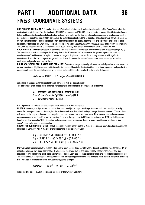## **PART I ADDITIONAL DATA 36** FIVE/3 COORDINATE SYSTEMS

**OUR PLACE IN THE GALAXY:** Our galaxy is a giant "pinwheel" of stars, with a close-to spherical core (the "bulge") and a flat disc containing the spiral arms. This disc is about 100 000 LY in diameter and 1000 LY thick, and rotates slowly. Outside the disc (above, below and beyond) is the galactic halo extending perhaps twice as far as the disc from the galactic core and in a sphere surrounding it. The bulge is something like 7000 LY across. For the Sun it takes about 250 MY to complete one galactic year, as we are about 28 000 LY from the center. The Sun lies about 50 LY above the plane of the galaxy, near the edge of a 15 000 LY short spur (a small spiral arm) often called the *Orion* spur. There are four big spiral arms: *Sagittarius-Carina*, *Perseus*, *Cygnus* and a fourth unnamed arm. The Orion Spur lies between S-C and Perseus, about 6000 LY away from either, and we are on the S-C side of the spur. **COORDINATE SYSTEMS:** It is useful to be able to provide a defined location for star systems in the form of coordinates (X, Y, Z). The coordinates are often based upon Earth's sky, but as Earth's equator isn't the same as the galactic equator the resulting coordinates don't tell how stars are placed relative to the galactic plane and center. Thus, it may be wise to utilize *galactic coordinates*. The easiest way to generate galactic coordinates is to take the "normal" coordinates based upon right ascension, declination and parallax and convert them.

**RIGHT ASCENSION, DECLINATION AND PARALLAX:** These three things (optionally, distance instead of parallax) are necessary to provide coordinates. Right ascension (ra) is the celestial version of longitude, declination (dec) the latitude equivalent and parallax the displacement angle the object shows due to the annual motion of the Earth. Parallax translates into distance as

*distance* = 1/(63115.2 \* tan(*parallax*/206264806))

calculating in radians. Distance is in light years, parallax in milli-arc-seconds (mas). The coordinates of an object, when distance, right ascension and declination are known, are as follows:

> X = *distance*\*cos(*dec*\*pi/180)\*cos(*ra*\*pi/180) Y = *distance*\*cos(*dec*\*pi/180)\*sin(*ra*\*pi/180) Z = *distance*\*sin(*dec*\*pi/180)

Use trigonometry in radians, distance in light years and dec/ra in decimal degrees.

**EPOCHS:** However, the right ascension and declination of an object is subject to change. One reason is that the object actually moves fast enough to make a difference, but the main reason is that Earth itself undergo changes in orbital elements. The rotational axis slowly undergo precession and thus the pole do not face the exact same spot over time. Thus, the astronomical measurements are accompanied by an "epoch", a sort of time-tag. Some star data you may find (Gliese, for instance) are 1950, while Hipparcos (another big data source) is 1991. Depending on how painstakingly precise you decide to place stars (decimal fractions of light years?) this may be more or less important.

**GALACTIC COORDINATES:** For 1991-data (Hipparcos), you can transform the X, Y and Z coordinates above to galactic coordinates (centered on Earth, but with X-Y-Z axis oriented according to the galaxy) by using

> $Xq = -(0.0571 * x) - (0.8733 * y) - (0.4838 * z)$  $Yg = (0.4938 * x) \cdot (0.4458 * y) + (0.7466 * z)$  $Zg = -(0.8677 * x) - (0.1963 * y) + (0.4567 * z)$

**MOVEMENT:** Stars move relative to each other. Over a short enough time, say 500 years, this will be of little importance (0.1 LY or so) unless you need very exact coordinates. (If you do, use the proper motion and radial velocity measurements many star lists provide) But over longer time it will make a difference. 1 million years ago our skies looked different and our stellar neighborhood too. The Alpha Centauri system has not been our closest star for that long (and in only a few thousand years Barnard's Star will be closer) **DISTANCES:** To measure distances between star systems is simple.

$$
distance = ( (X_1 - X_2)^2 + (Y_1 - Y_2)^2 + (Z_1 - Z_2)^2)^{0.5}
$$

where the two sets (1 & 2) of coordinates are those of the two involved stars.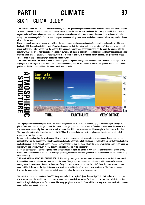## **PART II CLIMATE 37** SIX/1 CLIMATOLOGY

**THE BASICS:** When we talk about *climate* we usually mean the general long-time conditions of temperature and moisture of an area, as opposed to *weather* which is more about clouds, winds and similar shorter-term conditions. In a sense, all worlds have climate regions and the difference between these regions is what we are interested in. Airless worlds, however, have a climate which is solely based upon energy infall (and perhaps hot spots) unmoderated by atmosphere, while hothouse worlds have very similar climate all over the surface.

Climate is usually generated by energy infall from the local primary. As the energy (sunlight) reaches the surface of a world it heats it. In chapter FOUR we calculated the "typical" surface temperature, but the typical surface temperature isn't that useful for a specific region as the temperature varies over the surface. The temperature difference depends primarily on the angle the sunlight hits the ground with. At the areas near the poles (in a case of low axial tilt) there is less light per surface unit, and thus these areas are colder than the areas near the equator. The heated surface in turn radiates energy, to provide an energy balance. The greenhouse effect "traps" some of this outgoing energy, and raises temperatures.

**THE STRUCTURE OF THE ATMOSPHERE:** The atmosphere of a planet can typically be divided into, from surface and upward, a *troposphere*, a *stratosphere* and a *mesosphere*. Beyond the mesosphere the atmosphere is so thin that gas can escape and particles get ionized. FOUR/3 described how the pressure falls with altitude.



The troposphere is the lowest part, where the convection (rise and fall of matter, in this case gas, of various temperatures) take place. The troposphere usually gets colder the farther up one gets, and most clouds tend to form in the troposphere. In some cases the troposphere temporarily disappear due to lack of convection. This is most common on thin atmospheres in nighttime situations. The troposphere otherwise typically extend up to 10-30km. The border between the troposphere and the stratosphere is called *tropospause* (see figure above).

Beyond the troposphere lies the stratosphere. Here is very little convection, and temperatures stop dropping. Sometimes they rise gradually towards the mesosphere. The stratosphere is typically rather clear, but clouds can form here too. On Earth, these clouds are made of ice crystals, on Mars of carbon dioxide. The stratosphere is also the place where the ozone layer is most likely to be found on worlds with free oxygen, though in very thin atmospheres it may be in the troposphere.

Above the stratosphere is the mesosphere. Here, temperatures rise again but the air is very thin and thus the heating effect is very small. Cloud formation in this area is rare, but night glowing (*noctilucent,* see TEN/2) clouds from meteoric dust and aerosols of smog are a possibility.

**THE BIG PATTERN AND THE CORIOLIS FORCE:** The basic pattern generated on a world with non-extreme axial tilt is that the air is heated in the equatorial area and cools off near the poles. Thus, the pattern would be north-south, with cooler surface winds moving towards the equator. On worlds that rotate fairly fast, this is made complex by the *coriolis force*. Due to the rotation, the winds will be deflected, to the right in the northern hemisphere and to the left in the southern hemisphere. The force is stronger towards the poles and zero at the equator, and stronger the higher the velocity of the winds are.

The coriolis force can be calculated from  $2 *$  (angular velocity of spin)  $*$  (wind velocity)  $*$  sin (latitude). We understand that the rotation of the world is very important, a world that rotates half as fast as Earth has only half possible coriolis force. On a world with high wind speeds and fast rotation, like many gas giants, the coriolis force will be so strong as to form bands of east-west winds and no polar-equatorial winds.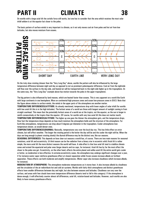On worlds with a large axial tilt the coriolis force still works, but one has to consider that the area which receives the most solar infall seldom is at the equator but closer to the poles.

The basic pattern of surface winds is very important to climate, as it not only moves cool air from poles and hot air from low latitudes, but also moves moisture from oceans.



On the truly slow rotating (slower than the "Very Long Day" above, worlds the pattern will also be influenced by the large temperature difference between night and day as opposed to not as prominent poles/equator difference. Cool air from the nightside will flow over the surface to the day-side, and heated air will be transported back to the night-side higher up in the troposphere. (In the same way, the "Very Long Day" example above has motion towards the poles in the upper troposphere).

The big pattern is also influenced by land masses, which are heated faster than oceans. This is very apparent on a world like Earth with large continents in one hemisphere. More on continental high pressure zones and ocean low-pressure zones in SIX/3. Note that the figure above relates to *surface* winds, the winds in the upper parts of the atmosphere are another matter.

**TEMPERATURE DIFFERENCES/LATITUDE:** As already mentioned, temperatures drop with lower angles of solar infall (for worlds with low axial tilt this is in the high latitudes). The hottest areas of a world are those with longest amount of sunlight coming in from straight overhead. This mean that the potentially hottest areas of a world are at the tropics, not the equator, as the sun is longer in zenith consecutively at the tropics than the equator. (Of course, for worlds with very low axial tilt this does not matter much). **TEMPERATURE DIFFERENCES/ALTITUDE:** The higher up one goes the thinner the atmosphere gets, and the temperature drops. How fast the temperature drops depends on how much moisture the atmosphere holds and the structure of the atmosphere. For Earth-like atmospheres, temperatures can drop about 6 degrees per kilometer in the troposphere. Cooler atmospheres lose temperature slower, as would denser ones.

**TEMPERATURE DIFFERENCES/DIURNAL:** Naturally, temperatures vary over the local day too. This has little effect on strict climate, but will affect weather. The longer the rotating period is the hotter the day will be and the cooler the night will be. When the days are long enough (a planet rotating slowly) the diurnal difference may be the distinct one, like our seasons.

**SEASONAL DIFFERENCES:** This depends on how clear-cut seasons a world has, of course. There are two main reasons for seasonal variations, axial tilt and eccentricity. (A third reason can be the radiation from a binary star in eccentric orbit) Axial tilt is rather simple, the more axial tilt the more distinct seasons the world will have. A side-effect is that low axial tilt tend to stabilize climate zones and extend the equatorial and polar ones (larger deserts and ice caps, for instance). Axial tilt has by far the most effect the closer to the poles one get. Eccentricity, on the other hand, affects the entire planet and unlike axial tilt the entire world gets cooler or hotter, so moderation is less effective. In extreme-eccentricity cases, the atmosphere may undergo significant changes over a year, if for instance water vapor reinforce greenhouse effect at closest separation while frozen oceans increase albedo on furthest separation. These effects can both moderate and amplify temperatures. (Water vapor also increase cloudiness which increase albedo, for instance).

**MODERATION BY ATMOSPHERE:** The atmosphere moderates temperatures as it stores heat. It also increase albedo by cloudiness and the circulation of the air redistribute hot and cold air systems. Worlds with fairly thick atmospheres and distinct greenhouse effects have smaller differences between day and night, but also between seasons and latitudes. Cloudiness can vary over the surface, and areas with few clouds have more temperature difference (deserts tend to fall in this category). If the atmosphere is dense enough, it will effectively counter almost all differences, axial tilt, rotation-based and latitudes. However, such worlds are also likely to have runway greenhouse effects.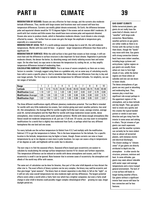**MODERATION BY OCEANS:** Oceans are very effective for heat storage, and the currents also moderate latitude differences. Thus, worlds with large oceans (and locations near such oceans) will have less temperature differences. Currents can modify global climate extensively. On Earth, the difference between polar and equatorial climate would be 10-15 degrees higher if the oceans and air masses didn't moderate. (A world with fast rotation and little oceans thus would have more extreme polar and equatorial climates) Oceans also serve to produce clouds, which in themselves moderate climate. Local climate is also strongly affected by oceans – the further from an ocean one gets the larger the amplitude in temperature gets, especially on a seasonal basis.

**MODERATION BY AXIAL TILT:** If a world undergo seasonal change due to axial tilt, this will moderate temperatures. Worlds with low axial tilt have – in general – larger temperature differences than those with a significant tilt.

**MODERATION BY SURFACE:** While the solid surface is less good than oceans as heat storage, it still can store heat and the difference in surface structure is also important for local climate. Vegetation in particular moderate climate, the denser the better, by absorbing energy and slowly radiating excess heat and water vapor. On the other hand, ice caps serve to decrease the temperature by cooling the air, so they amplify temperature differences instead of moderating them.

**CALCULATING SURFACE TEMPERATURES:** This is an issue of severe complexity as there are so many factors to consider. I strongly suggest using these as a guideline only, not as some way of calculating exactly how cold or warm a specific place is. And to remember that there always are differences from day to day and over longer periods. The first step is to calculate the temperature for different latitudes. For simplicity, we use ten ranges of latitudes:

| Range                         |       |        | 3       |       | b     | 6     |       |       |       | 10    |
|-------------------------------|-------|--------|---------|-------|-------|-------|-------|-------|-------|-------|
| Latitude                      | 0.5   | $5-15$ | $15-25$ | 25-35 | 35-45 | 45-55 | 55-65 | 65.75 | 75-85 | 85.90 |
| <b>Modification (Low)</b>     | l.10  | .07    | 1.5     | .03   | .00   | 0.97  | 0.93  | 0.87  | 0.78  | 0.68  |
| <b>Modification (Average)</b> | l.O5  | .04    | .03     | .02   | .00   | 0.98  | 0.95  | 0.90  | 0.82  | 0.75  |
| <b>Modification (High)</b>    | 02. ا | .02    | .02     | . 01  | .00   | 0.99  | 0.98  | 0.95  | 0.91  | 0.87  |

The three different modifications signify different planetary moderation potential. The Low Mod is intended for worlds with very little moderation (no oceans, fast rotation giving east-west weather patterns, low axial tilt, thin atmospheres), the Average Mod for worlds roughly Earth-like (part ocean, average rotation, average axial tilt, normal atmosphere) and the High Mod for worlds with large moderation (ocean worlds, dense atmospheres, slow rotation giving north-south weather patterns). Worlds with dense enough atmospheres (like Venus) would not moderate temperatures at all, just use 1.0 all over. Of course, you may want to extrapolate modifications for a world that is slightly less moderated than Earth, or perhaps which has very different hemispheres like one land and one ocean.

For every latitude use the surface temperature (in Kelvin) from 4.5.2 and multiply with the modification. Subtract 273 to get the temperature in Celsius. This is the base temperature for the latitude. For a specific location in the latitude, temperatures may be higher or lower, though. Ocean currents can raise or lower temperatures by up to ten degrees or even more in polar locations. Ice caps can cause a drop in temperatures of ten degrees as well, and highlands will be cooler due to elevation.

The next step is to find the seasonal effects. Seasonal effects based upon eccentricity are easiest to calculate by recalculating the average surface temperature (section 4) for closest and furthest separation. This temperature difference can be reduced on worlds with dense atmospheres and oceans, and if the eccentricity is small it can be ignored. Note however that in extreme cases of eccentricity the atmosphere and albedo of the world may differ with season.

The same sort of calculation can be done for binaries, thus part of the solar infall depends on how distant the other star is. The exact effects of binary systems can be very complex, the binary may well be eccentric and thus give longer "great seasons". The binary heat at closest separation is also likely to fall on the "night", so it will not only raise overall temperatures but also moderate night and day differences. The largest potential effects exists when a world orbits a fairly faint star which has a brighter companion, but even a fairly small change in solar infall in binaries could possibly trigger complex climatological effect – growing ice caps, longer daylight period etc.

### **GAS GIANT CLIMATE**

Unlike terrestrial planets, gas giants do not really have the same kind of climate, more of "weather" with large-scale convection. Nevertheless, weather patterns on gas giants are rather stable as there is no friction with the surface to slow them down, though the "bands" may move with time. Gas giants with strong convection (interior heat) have more violent weather, including large cyclones and anticyclones. Lighter regions on gas giants are usually those where air rises to form high clouds of ices, while the darker regions are those where air subsides and one can see down to lower clouds.

The dense atmospheres of gas giants are very good at absorbing and moderating heat. Thus, seasons play a much less significant role except perhaps in the uppermost regions of the atmosphere, and so does latitude and day length. Then, gas giants tend to rotate very quickly and this creates the typical banded pattern or winds in east-west direction and gas rising from the interior in some areas and sinking in others. The jet streams of gas giants can reach supersonic speeds, and the weather systems can certainly be far more violent than on almost all terrestrial planets, with immense storms and electrical discharges. The closest analogy to "climate zones" of gas giants are directly attributed to depth into the atmosphere – in other words the structure, pressure, moisture and heat. In some altitudes, gas giants may seem almost tolerable with water vapor and average temperatures and a more tranquil general environment. The lack of a true surface still leads to longer-lasting weather effects. Gas giants without a significant interior heat source will have far less convection and far less features.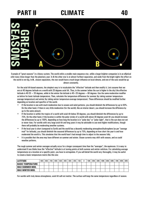

Example of "great seasons" in a binary system. The world orbits a smaller main sequence star, while a larger brighter companion is in an elliptical orbit many times longer than the planetary year. In **A** the other star is at almost furthest separation, and aside from the bright nights the effect on the world is not big. In **B** , closest separation, the star would have a much larger influence on local climate, and one of the suns would be up almost constantly.

For the axial tilt-based seasons, the simplest way is to recalculate the "effective" latitude and then modify it. Lets assume that we are at 40 degrees latitude on a world with 20 degrees axial tilt. Thus, in the summer (when the sun is higher in the sky) the effective latitude is  $40-20 = 20$  degrees, while in the winter the latitude is  $40+20$  degrees = 60 degrees. Use the same moderation modifier as before for basic latitude temperature. Then, calculate the temperature difference for summer (by taking summer temperatureaverage temperature) and winter (by taking winter temperature-average temperature). These differences should be modified further depending on location and specifics of the world.

- If the location is one with much moderation due to oceans and wind patterns, you should diminish the differences by up to 50%. On the other hand, if there is very little moderation (for the world), like an interior desert, you should increase the difference by up to the same amount.
- If the location is within the tropics of a world with axial tilt below 30 degrees, you should diminish the differences by up to 75%. On the other hand, if the location is within the polar circles of a world with above 30 degrees axial tilt you should increase the differences by up to 100%, depending on how long the location is in "polar day" or "polar night", that is the sun does not set or never rises. For worlds with very large axial tilt and long years it may be advisable to use even higher modifications, though there will probably be moderating weather systems.
- If the local year is short (compared to Earth) and the world has a decently moderating atmosphere/hydrosphere (as per "average mod" for latitude), you should diminish the seasonal differences by up to 75%, depending on how short the year is and how moderated the world is. This simulates that the world hasn't had enough time to adjust to the seasons fully.
- It is possible that the area may have different on summer and winter. Ocean currents may shift with season, and so could weather patterns.

The rough summer and winter averages actually occur for a longer consequent time than the "averages", the equinoxes. It is easy to understand if one thinks how the "effective" latitude is at turning points at both summer and winter solstices. For calculating average temperatures on a location at a specific point, you have to extrapolate. If you will detail the world very thoroughly, it may be useful to create a basic temperature matrix like this one:

| I LATITUDE             | 90S | <b>80S</b> | 70S | 60S | <b>50S</b> | <b>40S</b> | 30S | <b>20S</b> | 10S | <b>10N</b> | 20N | 30N | 40N | <b>50N</b> | 60N | 70N | <b>80N</b> | 90N |
|------------------------|-----|------------|-----|-----|------------|------------|-----|------------|-----|------------|-----|-----|-----|------------|-----|-----|------------|-----|
| BASIC TEMPERATURE      |     |            |     |     |            |            |     |            |     |            |     |     |     |            |     |     |            |     |
| I MAX SUMMER MOD.      |     |            |     |     |            |            |     |            |     |            |     |     |     |            |     |     |            |     |
| <b>MAX WINTER MOD.</b> |     |            |     |     |            |            |     |            |     |            |     |     |     |            |     |     |            |     |

For worlds with truly dense atmospheres, axial tilt will not matter. The surface will keep the same temperature regardless of season.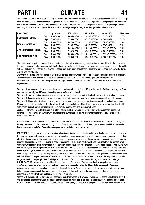The third calculation is the effect of day length. This is not really affected by seasons and axial tilt *except* in one specific case – large axial tilt that would cause extended sunlight periods at high latitudes. As the extended sunlight falls in at high angles, the heating is not that effective unless the axial tilt is very large. Otherwise, temperatures go up during the day and fall during the night. Worlds with very dense atmospheres ignore the effects of day and night temperatures just as they ignore latitude and axial tilt.

| <b>DAY LENGTH</b>              |              | Up to 20h        | <b>20h to 50h</b>   | 50h to 250h        | Above 250h          | <b>Maximum</b> |
|--------------------------------|--------------|------------------|---------------------|--------------------|---------------------|----------------|
|                                | Day          | $1.035 + 0.02/h$ | $1.435 + 0.0005$ (h | $1.45 + 0.00025/h$ | $1.5 + 0.0002/h$    | 1.75x          |
| <b>No Moderation Mod.</b>      | <b>Night</b> | $0.965 - 0.02/h$ | $0.565 - 0.0005/h$  | $0.55 - 0.00025/h$ | $0.5 - 0.0002/h$    | 0.25x          |
|                                | Day          | $1.0 + 0.0035/h$ | $1.07 + 0.002/h$    | $1.13 + 0.0006/h$  | $1.25 + 0.0002/h$   | 1.6x           |
| <b>Low Moderation Mod.</b>     | <b>Night</b> | $1.0 - 0.0035/h$ | $0.93 - 0.002/h$    | $0.87 - 0.0006/h$  | $0.75 - 0.0002/h$   | 0.4x           |
|                                | Day          | $1.0 + 0.0009/h$ | $1.018 + 0.0007/h$  | $1.039 + 0.0003/h$ | $1.099 + 0.0001/h$  | 1.4x           |
| <b>Average Moderation Mod.</b> | <b>Night</b> | $1.0 - 0.0009/h$ | $0.982 - 0.0007/h$  | $0.961 - 0.0003/h$ | $0.901 - 0.0001/h$  | 0.6x           |
| <b>High Moderation Mod.</b>    | Day          | $1.0 + 0.0003/h$ | $1.006 + 0.0002/h$  | $1.012 + 0.0001/h$ | $1.032 + 0.00005/h$ | 1.2x           |
|                                | Niaht        | $1.0 - 0.0003/h$ | $0.994 - 0.0002/h$  | $0.988 - 0.0001/h$ | $0.968 - 0.00005/h$ | 0.8x           |

The table gives the typical maximum day temperature and the typical minimum night temperature, as a modification factor to apply to the normal temperature for the region (in Kelvin). Obviously, the longer the day is the warmer it will become and the colder the nights will be. The hourly modification is calculated by seeing how many hours above the minimum for a particular column a world's day is, *not* the total hour length.

*Example:* A world has a rotation period of 34 hours, a surface temperature of 294K (+21 degrees Celsius) and average moderation. This means the 20-50h column, 14 hours above the minimum of 20 of the column. Day temperature maximum is 294 \* (1.018+0.0007\*14) = 302K (+29 degrees Celsius). Night temperature minimum is 294 \* (0.982-0.0007\*14) = 286K (+13 degrees Celsius).

Worlds with **No** moderation have no atmosphere and no real way of "storing" heat. Most airless worlds fall into this category. They can cool and heat slightly differently depending on the surface rocks, though.

Worlds with **Low** moderation have thin atmospheres with small greenhouse effect, little cloud cover and likely small or no oceans. Worlds with **Average** moderation have normal atmospheres, fair amount of cloud cover, some greenhouse effect and/or oceans. Worlds with **High** moderation have dense atmospheres, extensive cloud cover, significant greenhouse effect and/or huge oceans. **Maximum** value shows that regardless how long the rotation period of a world is, it won't get warmer or cooler than this. Worlds with moderation will have lower maximums and minimums as some sort of circulation will exist.

Just as for latitude, it is certainly possible to interpolate moderation (Average-High, etc). There will also probably be regional differences – inland areas on a world with few clouds and low moisture will have greater day/night temperature differences than cloudy, moist coasts.

It should be noted that maximum temperature isn't necessarily at noon, but slightly later as the moderation of the world delays the heating somewhat. For Earth, we are talking a delay of one or two hours. Worlds with denser atmospheres would have more delay – in extreme cases at nightfall. The minimum temperature is just before dawn, not at midnight.

**MOISTURE:** The presence of humidity in an atmosphere is very important for climate, and thus for landscape, ecology and landforms. It is also very important for weather, as high moisture content creates a more variable weather due to cloud formation, precipitation etc. When the air cools off, by moving over a cooler surface, for instance, or by being forced upward at a mountain range, or just by nightfall, the moisture will fall out as rain or snow. The warmer it is the more moisture will also evaporate from the surface. While I with moisture primarily mean water vapor, it can certainly be any cloud-forming component – like methane on cooler worlds. Moisture will not always be spread equally over a world's surface, but it will be moved by weather systems so it can fall as precipitation. More about that in SIX/3. For now, we need to remember that the moisture on Earth-like worlds is dependant upon evaporation from the land, from plants, from ice caps and in particular, from oceans. How it is transported after evaporating decides how the climate zones will look. Mountain ranges often create "rainshadows", drier areas, as the moisture content drops when the air passes a mountain range and much fall as precipitation. The height and orientation of such mountain ranges decide just how dry the interior gets. **POLAR CAPS:** Many non-hothouse worlds will have polar caps of some kind. The low solar infall at the poles makes them

significantly colder and often cool enough to have frozen water, ammonia, carbon dioxide or similar compounds. The exact composition of polar caps depend on the general coolness of the world. Very cold worlds could have methane or nitrogen-ice caps-Polar caps can be permanent (they exist year-round) or seasonal (they only exist in the cooler seasons). Seasonal polar caps are decimeters or meters thick only and highly depending on moisture.

Worlds with low axial tilt has potential for bigger polar caps than worlds with average tilt, and oceans at the poles tend to diminish the size of polar caps (as the water moderates the temperatures), while land at the poles tend to provide for bigger polar ice caps. Note that a warm Earth-like world may not have any polar caps at all, temperatures at the poles must fall significantly below 273K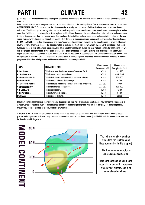(O degrees C) for an extended time to create polar caps based upon ice and the summers cannot be warm enough to melt the ice in entirety.

Polar caps of all kinds lower temperatures (due to the lower albedo and the cooling effect). This is most notable close to the ice caps. **GEOTHERMAL HEAT:** On some worlds the climate may be affect by not only solar infall but also heat from the surface due to volcanism. The biggest global heating effect on volcanism is to provide more greenhouse gasses (which warm the atmosphere) and/or more dust (which cools the atmosphere). On a regional and local level, however, the heat released can affect climate and warm areas to higher temperatures than they should have. This can have distinct effect on local cloud cover and precipitation patterns. On very young worlds, where the surface has not yet cooled off, difference in cooling in various regions will be profoundly affecting climate. **CLIMATE ZONES:** For further development of a world's surface, it is necessary to evaluate the climate zones of a world. There are several systems of climate zones – the *Köppen* system is perhaps the most well known, which divides Earth climate into five basic types and those in turn into several subgroups. It is often used for vegetation, but as we here will use climate for geomorphology we will use another simpler system of nine basic zones. These zones are based upon Earth-climate with moisture based upon water vapor, but will often be applicable to other worlds too. A further discussion of geomorphology for the zones is in chapter SEVEN, and of vegetation in chapter EIGHT/3. The amount of precipitation in an area depends as already have mentioned on presence to oceans, geographical location, wind patterns and how much humidity the atmosphere holds.

| <b>TYPE</b>                | <b>DESCRIPTION</b>                                       | <b>Mean Annual</b> | <b>Mean Annual</b> |  |
|----------------------------|----------------------------------------------------------|--------------------|--------------------|--|
|                            |                                                          | Temperature (K)    | Precipitation (mm) |  |
| <b>I: Hot Humid</b>        | This is the zone dominated by rain-forests on Earth.     | >293               | >1500              |  |
| II: Hot Wet-Dry            | This is savanna-monsoon climate.                         | >293               | 600-1500           |  |
| <b>III: Warm Semi-Arid</b> | This is half-desert and warm Mediterranean climate.      | >293               | 300-600            |  |
| <b>IV: Warm Arid</b>       | This is desert climate, Sahara-style.                    | >293               | $<$ 300            |  |
| V: Moderate Humid          | This is Earth's temperate climate, dominated by forests. | 273-293            | >400               |  |
| <b>VI: Moderate Dry</b>    | This is grasslands and steppes.                          | 273-293            | 100-400            |  |
| <b>VII: Cold Arid</b>      | This is cold desert.                                     | $<$ 293            | < 100              |  |
| <b>VIII: Periglacial</b>   | This is tundra-like climate.                             | < 273              | >100               |  |
| IX: Glacial                | This is icecap climate.                                  | < 273              | <b>Varies</b>      |  |

Mountain climate depends upon their elevation (as temperatures drop with altitude) and location, and how dense the atmosphere is Airless worlds do not have much of climate zones (the effect on geomorphology and vegetation is certainly not mattering much), though they could be classed as glacial, cold arid or warm arid.

**A MODEL CONTINENT:** The picture below shows an idealized and simplified continent on a world with a similar weather/ocean pattern and temperature as Earth. Using the dominant weather patterns, continent shapes (see NINE/2) and the temperatures this can be done for worlds in general.

**IODEL CONTINENT** 



The red arrows show dominant winds (see the Surface Wind illustration earlier in this chapter).

 The Roman numerals refer to climate zone classification.

This continent has no significant mountain ranges which otherwise would affect climate, and is of equal elevation all over.